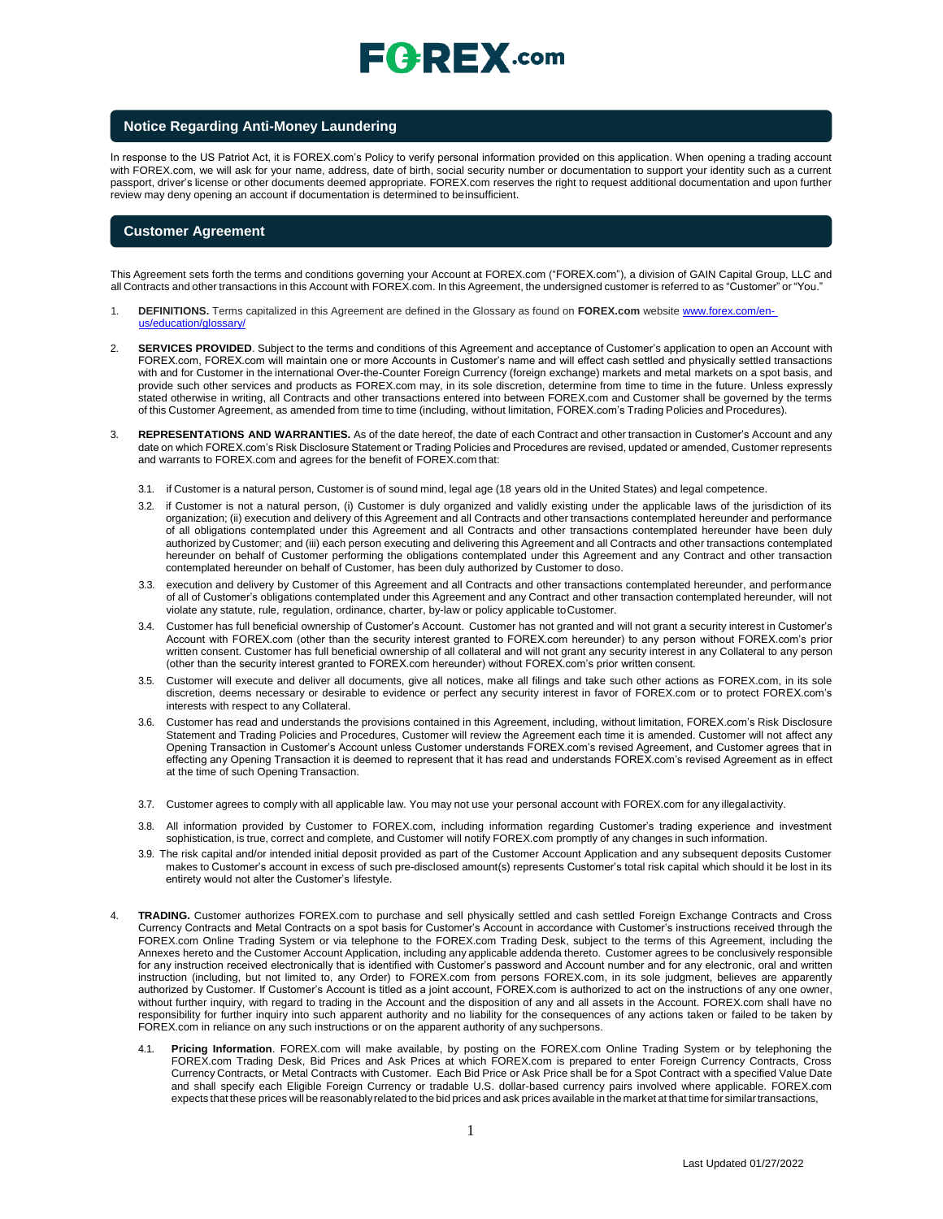#### **Notice Regarding Anti-Money Laundering**

In response to the US Patriot Act, it is FOREX.com's Policy to verify personal information provided on this application. When opening a trading account with FOREX.com, we will ask for your name, address, date of birth, social security number or documentation to support your identity such as a current passport, driver's license or other documents deemed appropriate. FOREX.com reserves the right to request additional documentation and upon further review may deny opening an account if documentation is determined to beinsufficient.

#### **Customer Agreement**

This Agreement sets forth the terms and conditions governing your Account at FOREX.com ("FOREX.com"), a division of GAIN Capital Group, LLC and all Contracts and other transactions in this Account with FOREX.com. In this Agreement, the undersigned customer is referred to as "Customer" or "You."

- 1. **DEFINITIONS.** Terms capitalized in this Agreement are defined in the Glossary as found on **FOREX.com** website [www.forex.com/en](http://www.forex.com/en-us/education/glossary/)[us/education/glossary/](http://www.forex.com/en-us/education/glossary/)
- 2. **SERVICES PROVIDED**. Subject to the terms and conditions of this Agreement and acceptance of Customer's application to open an Account with FOREX.com, FOREX.com will maintain one or more Accounts in Customer's name and will effect cash settled and physically settled transactions with and for Customer in the international Over-the-Counter Foreign Currency (foreign exchange) markets and metal markets on a spot basis, and provide such other services and products as FOREX.com may, in its sole discretion, determine from time to time in the future. Unless expressly stated otherwise in writing, all Contracts and other transactions entered into between FOREX.com and Customer shall be governed by the terms of this Customer Agreement, as amended from time to time (including, without limitation, FOREX.com's Trading Policies and Procedures).
- REPRESENTATIONS AND WARRANTIES. As of the date hereof, the date of each Contract and other transaction in Customer's Account and any date on which FOREX.com's Risk Disclosure Statement or Trading Policies and Procedures are revised, updated or amended, Customer represents and warrants to FOREX.com and agrees for the benefit of FOREX.com that:
	- 3.1. if Customer is a natural person, Customer is of sound mind, legal age (18 years old in the United States) and legal competence.
	- 3.2. if Customer is not a natural person, (i) Customer is duly organized and validly existing under the applicable laws of the jurisdiction of its organization; (ii) execution and delivery of this Agreement and all Contracts and other transactions contemplated hereunder and performance of all obligations contemplated under this Agreement and all Contracts and other transactions contemplated hereunder have been duly authorized by Customer; and (iii) each person executing and delivering this Agreement and all Contracts and other transactions contemplated hereunder on behalf of Customer performing the obligations contemplated under this Agreement and any Contract and other transaction contemplated hereunder on behalf of Customer, has been duly authorized by Customer to doso.
	- 3.3. execution and delivery by Customer of this Agreement and all Contracts and other transactions contemplated hereunder, and performance of all of Customer's obligations contemplated under this Agreement and any Contract and other transaction contemplated hereunder, will not violate any statute, rule, regulation, ordinance, charter, by-law or policy applicable toCustomer.
	- 3.4. Customer has full beneficial ownership of Customer's Account. Customer has not granted and will not grant a security interest in Customer's Account with FOREX.com (other than the security interest granted to FOREX.com hereunder) to any person without FOREX.com's prior written consent. Customer has full beneficial ownership of all collateral and will not grant any security interest in any Collateral to any person (other than the security interest granted to FOREX.com hereunder) without FOREX.com's prior written consent.
	- 3.5. Customer will execute and deliver all documents, give all notices, make all filings and take such other actions as FOREX.com, in its sole discretion, deems necessary or desirable to evidence or perfect any security interest in favor of FOREX.com or to protect FOREX.com's interests with respect to any Collateral.
	- 3.6. Customer has read and understands the provisions contained in this Agreement, including, without limitation, FOREX.com's Risk Disclosure Statement and Trading Policies and Procedures, Customer will review the Agreement each time it is amended. Customer will not affect any Opening Transaction in Customer's Account unless Customer understands FOREX.com's revised Agreement, and Customer agrees that in effecting any Opening Transaction it is deemed to represent that it has read and understands FOREX.com's revised Agreement as in effect at the time of such Opening Transaction.
	- 3.7. Customer agrees to comply with all applicable law. You may not use your personal account with FOREX.com for any illegalactivity.
	- 3.8. All information provided by Customer to FOREX.com, including information regarding Customer's trading experience and investment sophistication, is true, correct and complete, and Customer will notify FOREX.com promptly of any changes in such information.
	- 3.9. The risk capital and/or intended initial deposit provided as part of the Customer Account Application and any subsequent deposits Customer makes to Customer's account in excess of such pre-disclosed amount(s) represents Customer's total risk capital which should it be lost in its entirety would not alter the Customer's lifestyle.
- 4. **TRADING.** Customer authorizes FOREX.com to purchase and sell physically settled and cash settled Foreign Exchange Contracts and Cross Currency Contracts and Metal Contracts on a spot basis for Customer's Account in accordance with Customer's instructions received through the FOREX.com Online Trading System or via telephone to the FOREX.com Trading Desk, subject to the terms of this Agreement, including the Annexes hereto and the Customer Account Application, including any applicable addenda thereto. Customer agrees to be conclusively responsible for any instruction received electronically that is identified with Customer's password and Account number and for any electronic, oral and written instruction (including, but not limited to, any Order) to FOREX.com from persons FOREX.com, in its sole judgment, believes are apparently authorized by Customer. If Customer's Account is titled as a joint account, FOREX.com is authorized to act on the instructions of any one owner, without further inquiry, with regard to trading in the Account and the disposition of any and all assets in the Account. FOREX.com shall have no responsibility for further inquiry into such apparent authority and no liability for the consequences of any actions taken or failed to be taken by FOREX.com in reliance on any such instructions or on the apparent authority of any suchpersons.
	- 4.1. **Pricing Information**. FOREX.com will make available, by posting on the FOREX.com Online Trading System or by telephoning the FOREX.com Trading Desk, Bid Prices and Ask Prices at which FOREX.com is prepared to enter Foreign Currency Contracts, Cross Currency Contracts, or Metal Contracts with Customer. Each Bid Price or Ask Price shall be for a Spot Contract with a specified Value Date and shall specify each Eligible Foreign Currency or tradable U.S. dollar-based currency pairs involved where applicable. FOREX.com expects that these prices will be reasonablyrelated to the bid prices and ask prices available in the market at that time for similartransactions,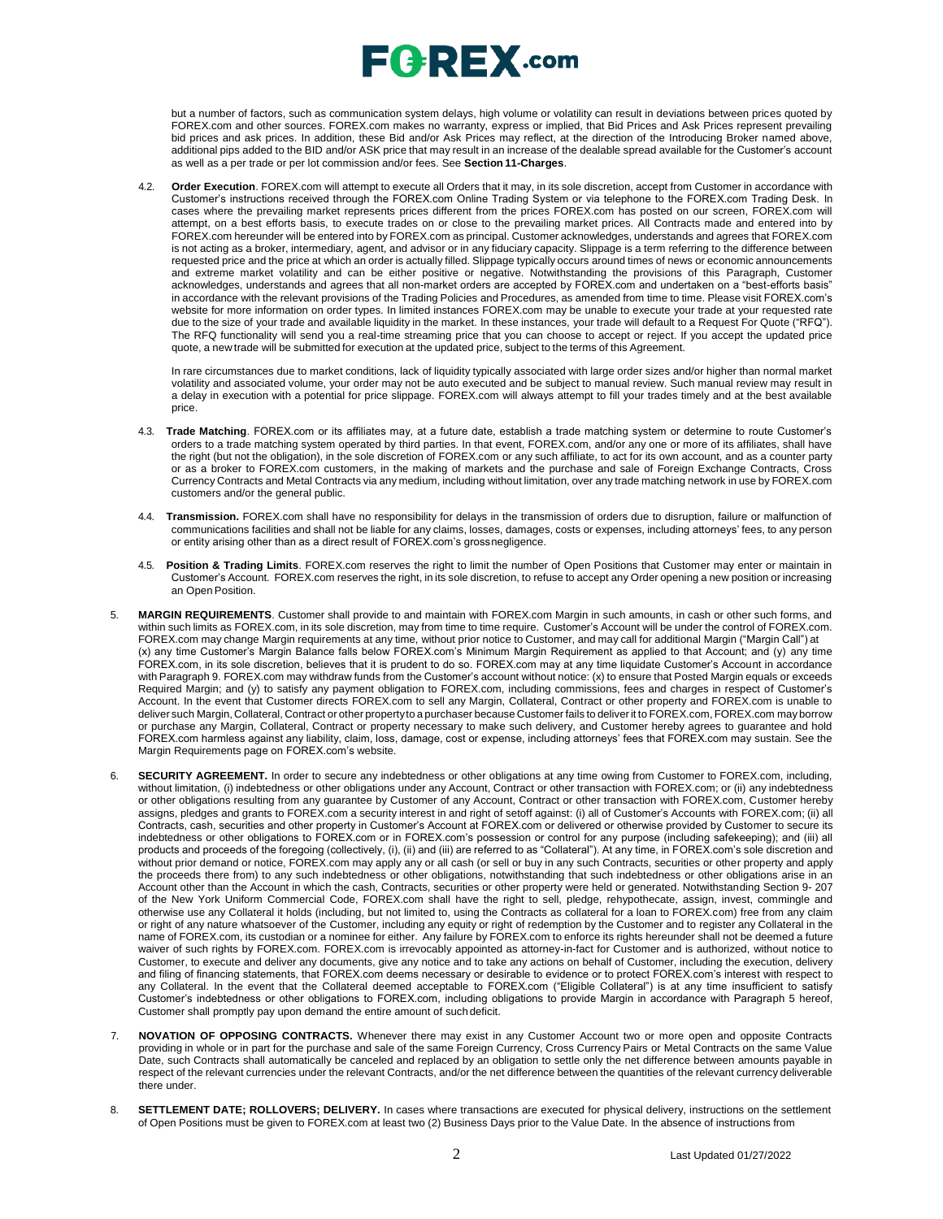## $\sqsubseteq$   $\sqsubseteq$   $\sqsubseteq$   $\sqtimes$  .com

but a number of factors, such as communication system delays, high volume or volatility can result in deviations between prices quoted by FOREX.com and other sources. FOREX.com makes no warranty, express or implied, that Bid Prices and Ask Prices represent prevailing bid prices and ask prices. In addition, these Bid and/or Ask Prices may reflect, at the direction of the Introducing Broker named above, additional pips added to the BID and/or ASK price that may result in an increase of the dealable spread available for the Customer's account as well as a per trade or per lot commission and/or fees. See **Section 11-Charges**.

4.2. **Order Execution**. FOREX.com will attempt to execute all Orders that it may, in its sole discretion, accept from Customer in accordance with Customer's instructions received through the FOREX.com Online Trading System or via telephone to the FOREX.com Trading Desk. In cases where the prevailing market represents prices different from the prices FOREX.com has posted on our screen, FOREX.com will attempt, on a best efforts basis, to execute trades on or close to the prevailing market prices. All Contracts made and entered into by FOREX.com hereunder will be entered into by FOREX.com as principal. Customer acknowledges, understands and agrees that FOREX.com is not acting as a broker, intermediary, agent, and advisor or in any fiduciary capacity. Slippage is a term referring to the difference between requested price and the price at which an order is actually filled. Slippage typically occurs around times of news or economic announcements and extreme market volatility and can be either positive or negative. Notwithstanding the provisions of this Paragraph, Customer acknowledges, understands and agrees that all non-market orders are accepted by FOREX.com and undertaken on a "best-efforts basis" in accordance with the relevant provisions of the Trading Policies and Procedures, as amended from time to time. Please visit FOREX.com's website for more information on order types. In limited instances FOREX.com may be unable to execute your trade at your requested rate due to the size of your trade and available liquidity in the market. In these instances, your trade will default to a Request For Quote ("RFQ"). The RFQ functionality will send you a real-time streaming price that you can choose to accept or reject. If you accept the updated price quote, a new trade will be submitted for execution at the updated price, subject to the terms of this Agreement.

In rare circumstances due to market conditions, lack of liquidity typically associated with large order sizes and/or higher than normal market volatility and associated volume, your order may not be auto executed and be subject to manual review. Such manual review may result in a delay in execution with a potential for price slippage. [FOREX.com w](http://forex.com/)ill always attempt to fill your trades timely and at the best available price.

- 4.3. **Trade Matching**. FOREX.com or its affiliates may, at a future date, establish a trade matching system or determine to route Customer's orders to a trade matching system operated by third parties. In that event, FOREX.com, and/or any one or more of its affiliates, shall have the right (but not the obligation), in the sole discretion of FOREX.com or any such affiliate, to act for its own account, and as a counter party or as a broker to FOREX.com customers, in the making of markets and the purchase and sale of Foreign Exchange Contracts, Cross Currency Contracts and Metal Contracts via any medium, including without limitation, over any trade matching network in use by FOREX.com customers and/or the general public.
- 4.4. **Transmission.** FOREX.com shall have no responsibility for delays in the transmission of orders due to disruption, failure or malfunction of communications facilities and shall not be liable for any claims, losses, damages, costs or expenses, including attorneys' fees, to any person or entity arising other than as a direct result of FOREX.com's grossnegligence.
- 4.5. **Position & Trading Limits**. FOREX.com reserves the right to limit the number of Open Positions that Customer may enter or maintain in Customer's Account. FOREX.com reserves the right, in its sole discretion, to refuse to accept any Order opening a new position or increasing an Open Position.
- 5. **MARGIN REQUIREMENTS**. Customer shall provide to and maintain with FOREX.com Margin in such amounts, in cash or other such forms, and within such limits as FOREX.com, in its sole discretion, may from time to time require. Customer's Account will be under the control of FOREX.com. FOREX.com may change Margin requirements at any time, without prior notice to Customer, and may call for additional Margin ("Margin Call") at (x) any time Customer's Margin Balance falls below FOREX.com's Minimum Margin Requirement as applied to that Account; and (y) any time FOREX.com, in its sole discretion, believes that it is prudent to do so. FOREX.com may at any time liquidate Customer's Account in accordance with Paragraph 9. FOREX.com may withdraw funds from the Customer's account without notice: (x) to ensure that Posted Margin equals or exceeds Required Margin; and (y) to satisfy any payment obligation to FOREX.com, including commissions, fees and charges in respect of Customer's Account. In the event that Customer directs FOREX.com to sell any Margin, Collateral, Contract or other property and FOREX.com is unable to deliver such Margin, Collateral, Contract or other propertyto a purchaser because Customer fails to deliverit to FOREX.com, FOREX.com may borrow or purchase any Margin, Collateral, Contract or property necessary to make such delivery, and Customer hereby agrees to guarantee and hold FOREX.com harmless against any liability, claim, loss, damage, cost or expense, including attorneys' fees that FOREX.com may sustain. See the Margin Requirements page on FOREX.com's website.
- 6. **SECURITY AGREEMENT.** In order to secure any indebtedness or other obligations at any time owing from Customer to FOREX.com, including, without limitation, (i) indebtedness or other obligations under any Account, Contract or other transaction with FOREX.com; or (ii) any indebtedness or other obligations resulting from any guarantee by Customer of any Account, Contract or other transaction with FOREX.com, Customer hereby assigns, pledges and grants to FOREX.com a security interest in and right of setoff against: (i) all of Customer's Accounts with FOREX.com; (ii) all Contracts, cash, securities and other property in Customer's Account at FOREX.com or delivered or otherwise provided by Customer to secure its indebtedness or other obligations to FOREX.com or in FOREX.com's possession or control for any purpose (including safekeeping); and (iii) all products and proceeds of the foregoing (collectively, (i), (ii) and (iii) are referred to as "Collateral"). At any time, in FOREX.com's sole discretion and without prior demand or notice, FOREX.com may apply any or all cash (or sell or buy in any such Contracts, securities or other property and apply the proceeds there from) to any such indebtedness or other obligations, notwithstanding that such indebtedness or other obligations arise in an Account other than the Account in which the cash, Contracts, securities or other property were held or generated. Notwithstanding Section 9- 207 of the New York Uniform Commercial Code, FOREX.com shall have the right to sell, pledge, rehypothecate, assign, invest, commingle and otherwise use any Collateral it holds (including, but not limited to, using the Contracts as collateral for a loan to FOREX.com) free from any claim or right of any nature whatsoever of the Customer, including any equity or right of redemption by the Customer and to register any Collateral in the name of FOREX.com, its custodian or a nominee for either. Any failure by FOREX.com to enforce its rights hereunder shall not be deemed a future waiver of such rights by FOREX.com. FOREX.com is irrevocably appointed as attorney-in-fact for Customer and is authorized, without notice to Customer, to execute and deliver any documents, give any notice and to take any actions on behalf of Customer, including the execution, delivery and filing of financing statements, that FOREX.com deems necessary or desirable to evidence or to protect FOREX.com's interest with respect to any Collateral. In the event that the Collateral deemed acceptable to FOREX.com ("Eligible Collateral") is at any time insufficient to satisfy Customer's indebtedness or other obligations to FOREX.com, including obligations to provide Margin in accordance with Paragraph 5 hereof, Customer shall promptly pay upon demand the entire amount of suchdeficit.
- 7. **NOVATION OF OPPOSING CONTRACTS.** Whenever there may exist in any Customer Account two or more open and opposite Contracts providing in whole or in part for the purchase and sale of the same Foreign Currency, Cross Currency Pairs or Metal Contracts on the same Value Date, such Contracts shall automatically be canceled and replaced by an obligation to settle only the net difference between amounts payable in respect of the relevant currencies under the relevant Contracts, and/or the net difference between the quantities of the relevant currency deliverable there under.
- 8. **SETTLEMENT DATE; ROLLOVERS; DELIVERY.** In cases where transactions are executed for physical delivery, instructions on the settlement of Open Positions must be given to FOREX.com at least two (2) Business Days prior to the Value Date. In the absence of instructions from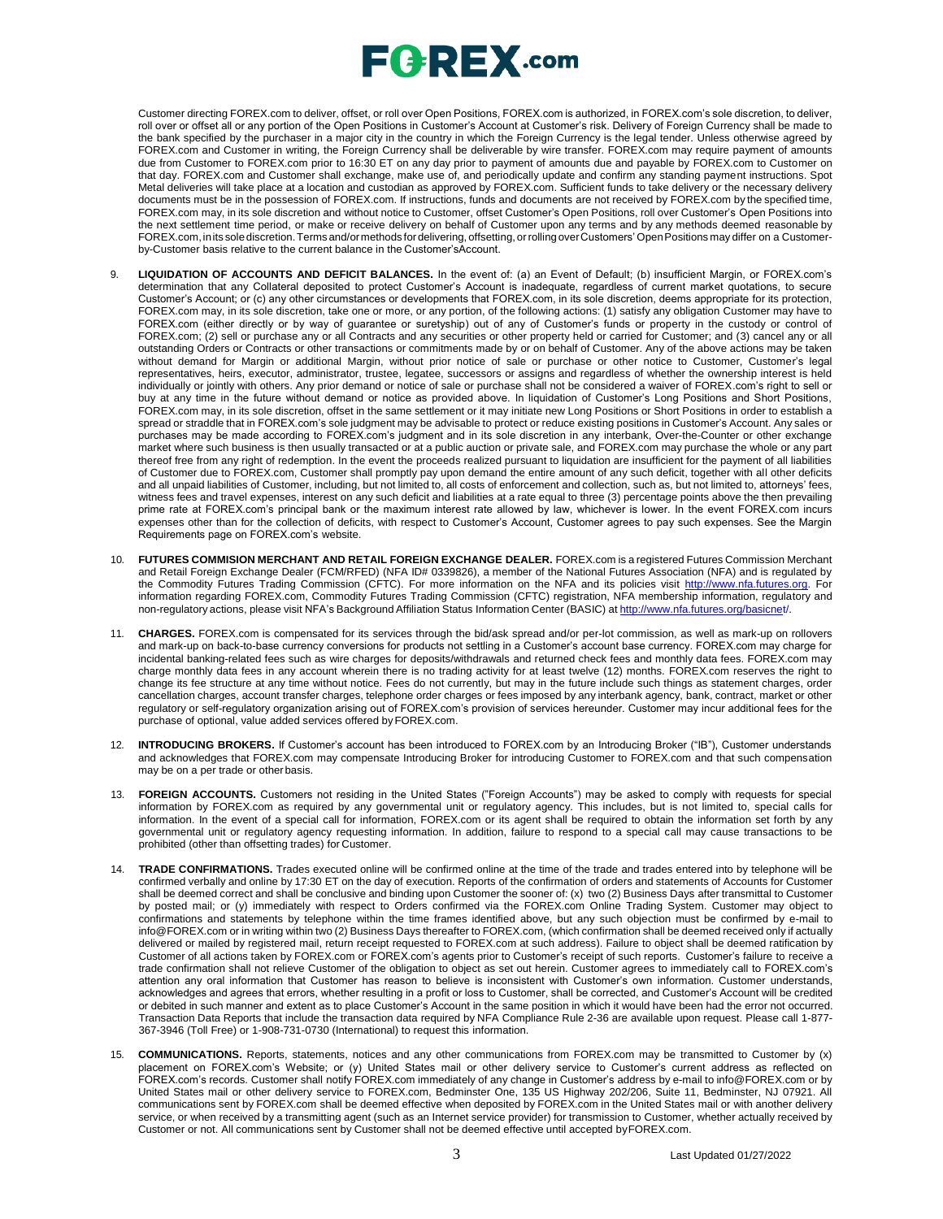Customer directing FOREX.com to deliver, offset, or roll over Open Positions, FOREX.com is authorized, in FOREX.com's sole discretion, to deliver, roll over or offset all or any portion of the Open Positions in Customer's Account at Customer's risk. Delivery of Foreign Currency shall be made to the bank specified by the purchaser in a major city in the country in which the Foreign Currency is the legal tender. Unless otherwise agreed by FOREX.com and Customer in writing, the Foreign Currency shall be deliverable by wire transfer. FOREX.com may require payment of amounts due from Customer to FOREX.com prior to 16:30 ET on any day prior to payment of amounts due and payable by FOREX.com to Customer on that day. FOREX.com and Customer shall exchange, make use of, and periodically update and confirm any standing payment instructions. Spot Metal deliveries will take place at a location and custodian as approved by FOREX.com. Sufficient funds to take delivery or the necessary delivery documents must be in the possession of FOREX.com. If instructions, funds and documents are not received by FOREX.com by the specified time, FOREX.com may, in its sole discretion and without notice to Customer, offset Customer's Open Positions, roll over Customer's Open Positions into the next settlement time period, or make or receive delivery on behalf of Customer upon any terms and by any methods deemed reasonable by FOREX.com,inits solediscretion.Terms and/ormethods for delivering, offsetting, orrolling overCustomers' OpenPositions may differ on a Customerby-Customer basis relative to the current balance in the Customer'sAccount.

- 9. **LIQUIDATION OF ACCOUNTS AND DEFICIT BALANCES.** In the event of: (a) an Event of Default; (b) insufficient Margin, or FOREX.com's determination that any Collateral deposited to protect Customer's Account is inadequate, regardless of current market quotations, to secure Customer's Account; or (c) any other circumstances or developments that FOREX.com, in its sole discretion, deems appropriate for its protection, FOREX.com may, in its sole discretion, take one or more, or any portion, of the following actions: (1) satisfy any obligation Customer may have to FOREX.com (either directly or by way of guarantee or suretyship) out of any of Customer's funds or property in the custody or control of FOREX.com; (2) sell or purchase any or all Contracts and any securities or other property held or carried for Customer; and (3) cancel any or all outstanding Orders or Contracts or other transactions or commitments made by or on behalf of Customer. Any of the above actions may be taken without demand for Margin or additional Margin, without prior notice of sale or purchase or other notice to Customer, Customer's legal representatives, heirs, executor, administrator, trustee, legatee, successors or assigns and regardless of whether the ownership interest is held individually or jointly with others. Any prior demand or notice of sale or purchase shall not be considered a waiver of FOREX.com's right to sell or buy at any time in the future without demand or notice as provided above. In liquidation of Customer's Long Positions and Short Positions, FOREX.com may, in its sole discretion, offset in the same settlement or it may initiate new Long Positions or Short Positions in order to establish a spread or straddle that in FOREX.com's sole judgment may be advisable to protect or reduce existing positions in Customer's Account. Any sales or purchases may be made according to FOREX.com's judgment and in its sole discretion in any interbank, Over-the-Counter or other exchange market where such business is then usually transacted or at a public auction or private sale, and FOREX.com may purchase the whole or any part thereof free from any right of redemption. In the event the proceeds realized pursuant to liquidation are insufficient for the payment of all liabilities of Customer due to FOREX.com, Customer shall promptly pay upon demand the entire amount of any such deficit, together with all other deficits and all unpaid liabilities of Customer, including, but not limited to, all costs of enforcement and collection, such as, but not limited to, attorneys' fees, witness fees and travel expenses, interest on any such deficit and liabilities at a rate equal to three (3) percentage points above the then prevailing prime rate at FOREX.com's principal bank or the maximum interest rate allowed by law, whichever is lower. In the event FOREX.com incurs expenses other than for the collection of deficits, with respect to Customer's Account, Customer agrees to pay such expenses. See the Margin Requirements page on FOREX.com's website.
- 10. **FUTURES COMMISION MERCHANT AND RETAIL FOREIGN EXCHANGE DEALER.** FOREX.com is a registered Futures Commission Merchant and Retail Foreign Exchange Dealer (FCM/RFED) (NFA ID# 0339826), a member of the National Futures Association (NFA) and is regulated by the Commodity Futures Trading Commission (CFTC). For more information on the NFA and its policies visit [http://www.nfa.futures.org.](http://www.nfa.futures.org/) For information regarding FOREX.com, Commodity Futures Trading Commission (CFTC) registration, NFA membership information, regulatory and non-regulatory actions, please visit NFA's Background Affiliation Status Information Center (BASIC) at [http://www.nfa.futures.org/basicnet/.](http://www.nfa.futures.org/basicnet/)
- 11. **CHARGES.** FOREX.com is compensated for its services through the bid/ask spread and/or per-lot commission, as well as mark-up on rollovers and mark-up on back-to-base currency conversions for products not settling in a Customer's account base currency. FOREX.com may charge for incidental banking-related fees such as wire charges for deposits/withdrawals and returned check fees and monthly data fees. FOREX.com may charge monthly data fees in any account wherein there is no trading activity for at least twelve (12) months. FOREX.com reserves the right to change its fee structure at any time without notice. Fees do not currently, but may in the future include such things as statement charges, order cancellation charges, account transfer charges, telephone order charges or fees imposed by any interbank agency, bank, contract, market or other regulatory or self-regulatory organization arising out of FOREX.com's provision of services hereunder. Customer may incur additional fees for the purchase of optional, value added services offered byFOREX.com.
- 12. **INTRODUCING BROKERS.** If Customer's account has been introduced to FOREX.com by an Introducing Broker ("IB"), Customer understands and acknowledges that FOREX.com may compensate Introducing Broker for introducing Customer to FOREX.com and that such compensation may be on a per trade or other basis.
- 13. **FOREIGN ACCOUNTS.** Customers not residing in the United States ("Foreign Accounts") may be asked to comply with requests for special information by FOREX.com as required by any governmental unit or regulatory agency. This includes, but is not limited to, special calls for information. In the event of a special call for information, FOREX.com or its agent shall be required to obtain the information set forth by any governmental unit or regulatory agency requesting information. In addition, failure to respond to a special call may cause transactions to be prohibited (other than offsetting trades) for Customer.
- 14. **TRADE CONFIRMATIONS.** Trades executed online will be confirmed online at the time of the trade and trades entered into by telephone will be confirmed verbally and online by 17:30 ET on the day of execution. Reports of the confirmation of orders and statements of Accounts for Customer shall be deemed correct and shall be conclusive and binding upon Customer the sooner of: (x) two (2) Business Days after transmittal to Customer by posted mail; or (y) immediately with respect to Orders confirmed via the FOREX.com Online Trading System. Customer may object to confirmations and statements by telephone within the time frames identified above, but any such objection must be confirmed by e-mail t[o](mailto:info@FOREX.com) [info@FOREX.com](mailto:info@FOREX.com) or in writing within two (2) Business Days thereafter to FOREX.com, (which confirmation shall be deemed received only if actually delivered or mailed by registered mail, return receipt requested to FOREX.com at such address). Failure to object shall be deemed ratification by Customer of all actions taken by FOREX.com or FOREX.com's agents prior to Customer's receipt of such reports. Customer's failure to receive a trade confirmation shall not relieve Customer of the obligation to object as set out herein. Customer agrees to immediately call to FOREX.com's attention any oral information that Customer has reason to believe is inconsistent with Customer's own information. Customer understands, acknowledges and agrees that errors, whether resulting in a profit or loss to Customer, shall be corrected, and Customer's Account will be credited or debited in such manner and extent as to place Customer's Account in the same position in which it would have been had the error not occurred. Transaction Data Reports that include the transaction data required by NFA Compliance Rule 2-36 are available upon request. Please call 1-877- 367-3946 (Toll Free) or 1-908-731-0730 (International) to request this information.
- 15. **COMMUNICATIONS.** Reports, statements, notices and any other communications from FOREX.com may be transmitted to Customer by (x) placement on FOREX.com's Website; or (y) United States mail or other delivery service to Customer's current address as reflected on FOREX.com's records. Customer shall notify FOREX.com immediately of any change in Customer's address by e-mail to [info@FOREX.com](mailto:info@FOREX.com) or by United States mail or other delivery service to FOREX.com, Bedminster One, 135 US Highway 202/206, Suite 11, Bedminster, NJ 07921. All communications sent by FOREX.com shall be deemed effective when deposited by FOREX.com in the United States mail or with another delivery service, or when received by a transmitting agent (such as an Internet service provider) for transmission to Customer, whether actually received by Customer or not. All communications sent by Customer shall not be deemed effective until accepted byFOREX.com.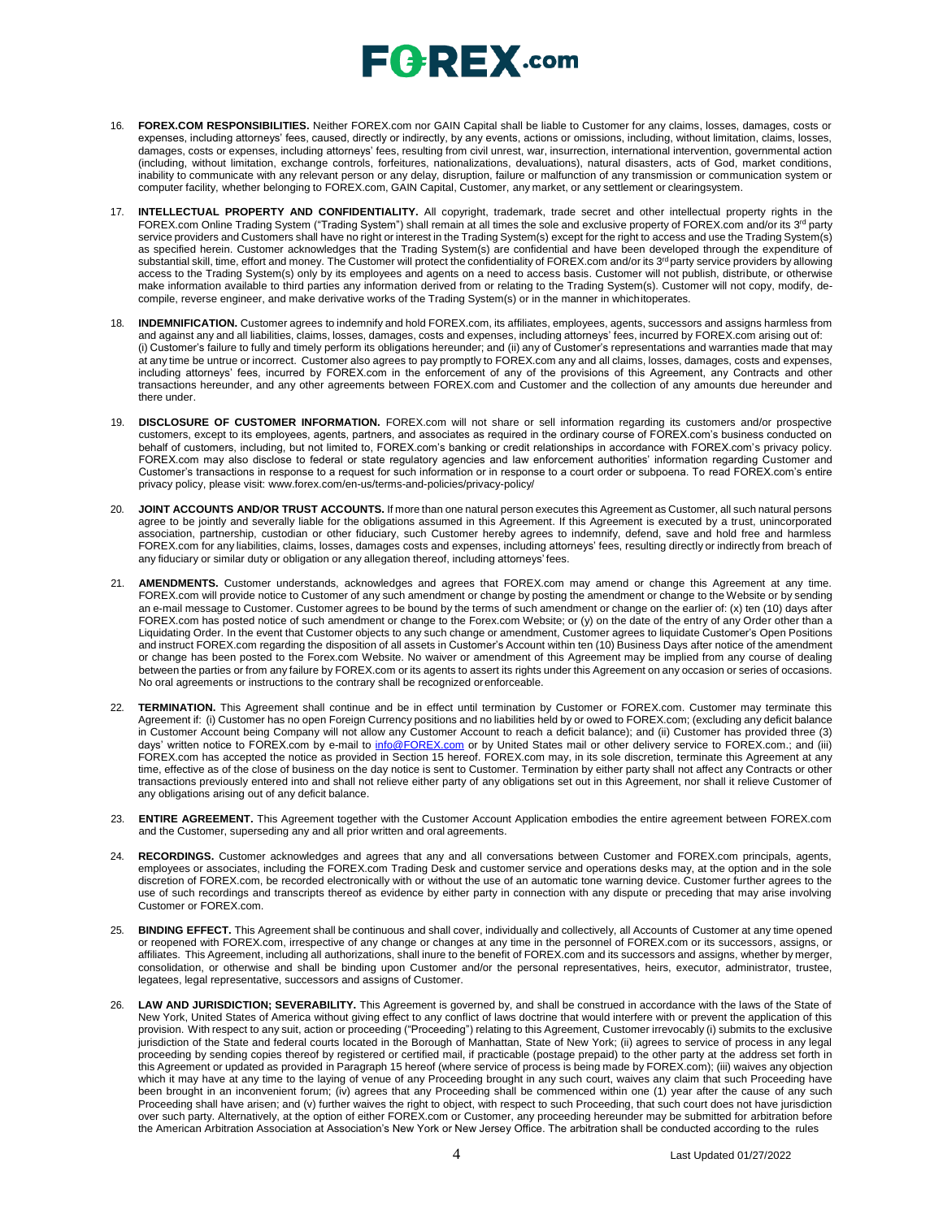## **FOREX.com**

- 16. **FOREX.COM RESPONSIBILITIES.** Neither FOREX.com nor GAIN Capital shall be liable to Customer for any claims, losses, damages, costs or expenses, including attorneys' fees, caused, directly or indirectly, by any events, actions or omissions, including, without limitation, claims, losses, damages, costs or expenses, including attorneys' fees, resulting from civil unrest, war, insurrection, international intervention, governmental action (including, without limitation, exchange controls, forfeitures, nationalizations, devaluations), natural disasters, acts of God, market conditions, inability to communicate with any relevant person or any delay, disruption, failure or malfunction of any transmission or communication system or computer facility, whether belonging to FOREX.com, GAIN Capital, Customer, any market, or any settlement or clearingsystem.
- 17. **INTELLECTUAL PROPERTY AND CONFIDENTIALITY.** All copyright, trademark, trade secret and other intellectual property rights in the FOREX.com Online Trading System ("Trading System") shall remain at all times the sole and exclusive property of FOREX.com and/or its 3<sup>rd</sup> party service providers and Customers shall have no right or interest in the Trading System(s) except for the right to access and use the Trading System(s)<br>as specified herein. Customer acknowledges that the Trading System(s) ar substantial skill, time, effort and money. The Customer will protect the confidentiality of FOREX.com and/or its 3<sup>rd</sup> party service providers by allowing access to the Trading System(s) only by its employees and agents on a need to access basis. Customer will not publish, distribute, or otherwise<br>make information available to third parties any information derived from or re compile, reverse engineer, and make derivative works of the Trading System(s) or in the manner in whichitoperates.
- 18. **INDEMNIFICATION.** Customer agrees to indemnify and hold FOREX.com, its affiliates, employees, agents, successors and assigns harmless from and against any and all liabilities, claims, losses, damages, costs and expenses, including attorneys' fees, incurred by FOREX.com arising out of: (i) Customer's failure to fully and timely perform its obligations hereunder; and (ii) any of Customer's representations and warranties made that may at any time be untrue or incorrect. Customer also agrees to pay promptly to FOREX.com any and all claims, losses, damages, costs and expenses, including attorneys' fees, incurred by FOREX.com in the enforcement of any of the provisions of this Agreement, any Contracts and other transactions hereunder, and any other agreements between FOREX.com and Customer and the collection of any amounts due hereunder and there under.
- 19. **DISCLOSURE OF CUSTOMER INFORMATION.** FOREX.com will not share or sell information regarding its customers and/or prospective customers, except to its employees, agents, partners, and associates as required in the ordinary course of FOREX.com's business conducted on behalf of customers, including, but not limited to, FOREX.com's banking or credit relationships in accordance with FOREX.com's privacy policy. FOREX.com may also disclose to federal or state regulatory agencies and law enforcement authorities' information regarding Customer and Customer's transactions in response to a request for such information or in response to a court order or subpoena. To read FOREX.com's entire privacy policy, please visit: [www.forex.com/en-us/terms-and-policies/privacy-policy/](http://www.forex.com/en-us/terms-and-policies/privacy-policy/)
- 20. **JOINT ACCOUNTS AND/OR TRUST ACCOUNTS.** If more than one natural person executes this Agreement as Customer, all such natural persons agree to be jointly and severally liable for the obligations assumed in this Agreement. If this Agreement is executed by a trust, unincorporated association, partnership, custodian or other fiduciary, such Customer hereby agrees to indemnify, defend, save and hold free and harmless FOREX.com for any liabilities, claims, losses, damages costs and expenses, including attorneys' fees, resulting directly or indirectly from breach of any fiduciary or similar duty or obligation or any allegation thereof, including attorneys' fees.
- AMENDMENTS. Customer understands, acknowledges and agrees that FOREX.com may amend or change this Agreement at any time. FOREX.com will provide notice to Customer of any such amendment or change by posting the amendment or change to the Website or by sending an e-mail message to Customer. Customer agrees to be bound by the terms of such amendment or change on the earlier of: (x) ten (10) days after FOREX.com has posted notice of such amendment or change to the Forex.com Website; or (y) on the date of the entry of any Order other than a Liquidating Order. In the event that Customer objects to any such change or amendment, Customer agrees to liquidate Customer's Open Positions and instruct FOREX.com regarding the disposition of all assets in Customer's Account within ten (10) Business Days after notice of the amendment or change has been posted to the Forex.com Website. No waiver or amendment of this Agreement may be implied from any course of dealing between the parties or from any failure by FOREX.com or its agents to assert its rights under this Agreement on any occasion or series of occasions. No oral agreements or instructions to the contrary shall be recognized orenforceable.
- 22. **TERMINATION.** This Agreement shall continue and be in effect until termination by Customer or FOREX.com. Customer may terminate this Agreement if: (i) Customer has no open Foreign Currency positions and no liabilities held by or owed to FOREX.com; (excluding any deficit balance in Customer Account being Company will not allow any Customer Account to reach a deficit balance); and (ii) Customer has provided three (3) days' written notice to FOREX.com by e-mail to [info@FOREX.com](mailto:info@fxadvantage.com) or by United States mail or other delivery service to FOREX.com.; and (iii) FOREX.com has accepted the notice as provided in Section 15 hereof. FOREX.com may, in its sole discretion, terminate this Agreement at any time, effective as of the close of business on the day notice is sent to Customer. Termination by either party shall not affect any Contracts or other transactions previously entered into and shall not relieve either party of any obligations set out in this Agreement, nor shall it relieve Customer of any obligations arising out of any deficit balance.
- 23. **ENTIRE AGREEMENT.** This Agreement together with the Customer Account Application embodies the entire agreement between FOREX.com and the Customer, superseding any and all prior written and oral agreements.
- 24. **RECORDINGS.** Customer acknowledges and agrees that any and all conversations between Customer and FOREX.com principals, agents, employees or associates, including the FOREX.com Trading Desk and customer service and operations desks may, at the option and in the sole discretion of FOREX.com, be recorded electronically with or without the use of an automatic tone warning device. Customer further agrees to the use of such recordings and transcripts thereof as evidence by either party in connection with any dispute or preceding that may arise involving Customer or FOREX.com.
- 25. **BINDING EFFECT.** This Agreement shall be continuous and shall cover, individually and collectively, all Accounts of Customer at any time opened or reopened with FOREX.com, irrespective of any change or changes at any time in the personnel of FOREX.com or its successors, assigns, or affiliates. This Agreement, including all authorizations, shall inure to the benefit of FOREX.com and its successors and assigns, whether by merger, consolidation, or otherwise and shall be binding upon Customer and/or the personal representatives, heirs, executor, administrator, trustee, legatees, legal representative, successors and assigns of Customer.
- 26. **LAW AND JURISDICTION; SEVERABILITY.** This Agreement is governed by, and shall be construed in accordance with the laws of the State of New York, United States of America without giving effect to any conflict of laws doctrine that would interfere with or prevent the application of this provision. With respect to any suit, action or proceeding ("Proceeding") relating to this Agreement, Customer irrevocably (i) submits to the exclusive jurisdiction of the State and federal courts located in the Borough of Manhattan, State of New York; (ii) agrees to service of process in any legal proceeding by sending copies thereof by registered or certified mail, if practicable (postage prepaid) to the other party at the address set forth in this Agreement or updated as provided in Paragraph 15 hereof (where service of process is being made by FOREX.com); (iii) waives any objection which it may have at any time to the laying of venue of any Proceeding brought in any such court, waives any claim that such Proceeding have been brought in an inconvenient forum; (iv) agrees that any Proceeding shall be commenced within one (1) year after the cause of any such Proceeding shall have arisen; and (v) further waives the right to object, with respect to such Proceeding, that such court does not have jurisdiction over such party. Alternatively, at the option of either FOREX.com or Customer, any proceeding hereunder may be submitted for arbitration before the American Arbitration Association at Association's New York or New Jersey Office. The arbitration shall be conducted according to the rules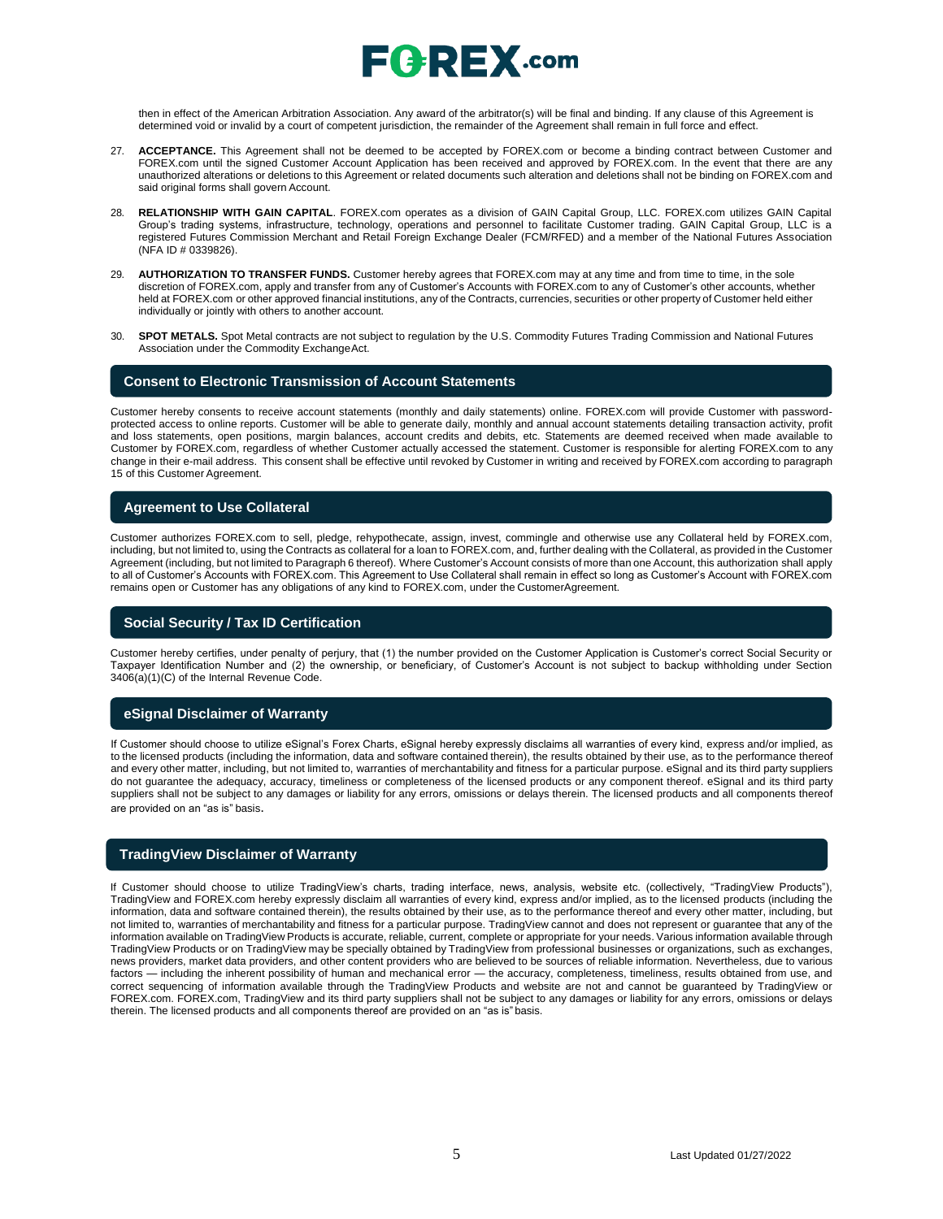

then in effect of the American Arbitration Association. Any award of the arbitrator(s) will be final and binding. If any clause of this Agreement is determined void or invalid by a court of competent jurisdiction, the remainder of the Agreement shall remain in full force and effect.

- 27. **ACCEPTANCE.** This Agreement shall not be deemed to be accepted by FOREX.com or become a binding contract between Customer and FOREX.com until the signed Customer Account Application has been received and approved by FOREX.com. In the event that there are any unauthorized alterations or deletions to this Agreement or related documents such alteration and deletions shall not be binding on FOREX.com and said original forms shall govern Account.
- 28. **RELATIONSHIP WITH GAIN CAPITAL**. FOREX.com operates as a division of GAIN Capital Group, LLC. FOREX.com utilizes GAIN Capital Group's trading systems, infrastructure, technology, operations and personnel to facilitate Customer trading. GAIN Capital Group, LLC is a registered Futures Commission Merchant and Retail Foreign Exchange Dealer (FCM/RFED) and a member of the National Futures Association (NFA ID # 0339826).
- 29. **AUTHORIZATION TO TRANSFER FUNDS.** Customer hereby agrees that FOREX.com may at any time and from time to time, in the sole discretion of FOREX.com, apply and transfer from any of Customer's Accounts with FOREX.com to any of Customer's other accounts, whether held at FOREX.com or other approved financial institutions, any of the Contracts, currencies, securities or other property of Customer held either individually or jointly with others to another account.
- 30. **SPOT METALS.** Spot Metal contracts are not subject to regulation by the U.S. Commodity Futures Trading Commission and National Futures Association under the Commodity ExchangeAct.

#### **Consent to Electronic Transmission of Account Statements**

Customer hereby consents to receive account statements (monthly and daily statements) online. FOREX.com will provide Customer with passwordprotected access to online reports. Customer will be able to generate daily, monthly and annual account statements detailing transaction activity, profit and loss statements, open positions, margin balances, account credits and debits, etc. Statements are deemed received when made available to Customer by FOREX.com, regardless of whether Customer actually accessed the statement. Customer is responsible for alerting FOREX.com to any change in their e-mail address. This consent shall be effective until revoked by Customer in writing and received by FOREX.com according to paragraph 15 of this Customer Agreement.

### **Agreement to Use Collateral**

Customer authorizes FOREX.com to sell, pledge, rehypothecate, assign, invest, commingle and otherwise use any Collateral held by FOREX.com, including, but not limited to, using the Contracts as collateral for a loan to FOREX.com, and, further dealing with the Collateral, as provided in the Customer Agreement (including, but not limited to Paragraph 6 thereof). Where Customer's Account consists of more than one Account, this authorization shall apply to all of Customer's Accounts with FOREX.com. This Agreement to Use Collateral shall remain in effect so long as Customer's Account with FOREX.com remains open or Customer has any obligations of any kind to FOREX.com, under the CustomerAgreement.

### **Social Security / Tax ID Certification**

Customer hereby certifies, under penalty of perjury, that (1) the number provided on the Customer Application is Customer's correct Social Security or Taxpayer Identification Number and (2) the ownership, or beneficiary, of Customer's Account is not subject to backup withholding under Section 3406(a)(1)(C) of the Internal Revenue Code.

#### **eSignal Disclaimer of Warranty**

If Customer should choose to utilize eSignal's Forex Charts, eSignal hereby expressly disclaims all warranties of every kind, express and/or implied, as to the licensed products (including the information, data and software contained therein), the results obtained by their use, as to the performance thereof and every other matter, including, but not limited to, warranties of merchantability and fitness for a particular purpose. eSignal and its third party suppliers do not guarantee the adequacy, accuracy, timeliness or completeness of the licensed products or any component thereof. eSignal and its third party suppliers shall not be subject to any damages or liability for any errors, omissions or delays therein. The licensed products and all components thereof are provided on an "as is" basis.

#### **TradingView Disclaimer of Warranty**

If Customer should choose to utilize TradingView's charts, trading interface, news, analysis, website etc. (collectively, "TradingView Products"), TradingView and FOREX.com hereby expressly disclaim all warranties of every kind, express and/or implied, as to the licensed products (including the information, data and software contained therein), the results obtained by their use, as to the performance thereof and every other matter, including, but not limited to, warranties of merchantability and fitness for a particular purpose. TradingView cannot and does not represent or guarantee that any of the information available on TradingView Products is accurate, reliable, current, complete or appropriate for your needs. Various information available through TradingView Products or on TradingView may be specially obtained by TradingView from professional businesses or organizations, such as exchanges, news providers, market data providers, and other content providers who are believed to be sources of reliable information. Nevertheless, due to various factors — including the inherent possibility of human and mechanical error — the accuracy, completeness, timeliness, results obtained from use, and correct sequencing of information available through the TradingView Products and website are not and cannot be guaranteed by TradingView or FOREX.com. FOREX.com, TradingView and its third party suppliers shall not be subject to any damages or liability for any errors, omissions or delays therein. The licensed products and all components thereof are provided on an "as is" basis.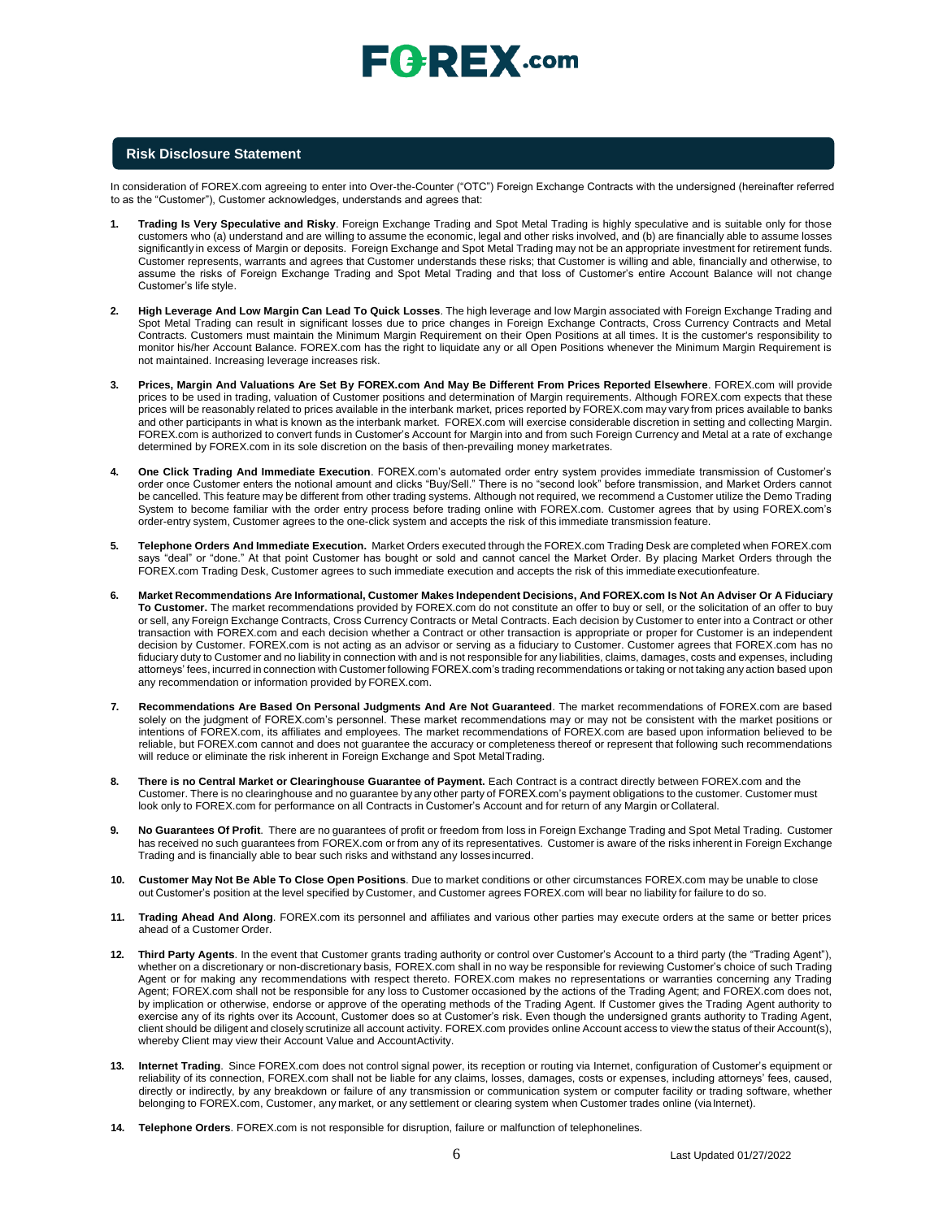

### **Risk Disclosure Statement**

In consideration of FOREX.com agreeing to enter into Over-the-Counter ("OTC") Foreign Exchange Contracts with the undersigned (hereinafter referred to as the "Customer"), Customer acknowledges, understands and agrees that:

- **1. Trading Is Very Speculative and Risky**. Foreign Exchange Trading and Spot Metal Trading is highly speculative and is suitable only for those customers who (a) understand and are willing to assume the economic, legal and other risks involved, and (b) are financially able to assume losses significantly in excess of Margin or deposits. Foreign Exchange and Spot Metal Trading may not be an appropriate investment for retirement funds. Customer represents, warrants and agrees that Customer understands these risks; that Customer is willing and able, financially and otherwise, to assume the risks of Foreign Exchange Trading and Spot Metal Trading and that loss of Customer's entire Account Balance will not change Customer's life style.
- **2. High Leverage And Low Margin Can Lead To Quick Losses**. The high leverage and low Margin associated with Foreign Exchange Trading and Spot Metal Trading can result in significant losses due to price changes in Foreign Exchange Contracts, Cross Currency Contracts and Metal Contracts. Customers must maintain the Minimum Margin Requirement on their Open Positions at all times. It is the customer's responsibility to monitor his/her Account Balance. FOREX.com has the right to liquidate any or all Open Positions whenever the Minimum Margin Requirement is not maintained. Increasing leverage increases risk.
- **3. Prices, Margin And Valuations Are Set By FOREX.com And May Be Different From Prices Reported Elsewhere**. FOREX.com will provide prices to be used in trading, valuation of Customer positions and determination of Margin requirements. Although FOREX.com expects that these prices will be reasonably related to prices available in the interbank market, prices reported by FOREX.com may vary from prices available to banks and other participants in what is known as the interbank market. FOREX.com will exercise considerable discretion in setting and collecting Margin. FOREX.com is authorized to convert funds in Customer's Account for Margin into and from such Foreign Currency and Metal at a rate of exchange determined by FOREX.com in its sole discretion on the basis of then-prevailing money marketrates.
- **4. One Click Trading And Immediate Execution**. FOREX.com's automated order entry system provides immediate transmission of Customer's order once Customer enters the notional amount and clicks "Buy/Sell." There is no "second look" before transmission, and Market Orders cannot be cancelled. This feature may be different from other trading systems. Although not required, we recommend a Customer utilize the Demo Trading System to become familiar with the order entry process before trading online with FOREX.com. Customer agrees that by using FOREX.com's order-entry system, Customer agrees to the one-click system and accepts the risk of this immediate transmission feature.
- **5. Telephone Orders And Immediate Execution.** Market Orders executed through the FOREX.com Trading Desk are completed when FOREX.com says "deal" or "done." At that point Customer has bought or sold and cannot cancel the Market Order. By placing Market Orders through the FOREX.com Trading Desk, Customer agrees to such immediate execution and accepts the risk of this immediate executionfeature.
- 6. Market Recommendations Are Informational, Customer Makes Independent Decisions, And FOREX.com Is Not An Adviser Or A Fiduciary **To Customer.** The market recommendations provided by FOREX.com do not constitute an offer to buy or sell, or the solicitation of an offer to buy or sell, any Foreign Exchange Contracts, Cross Currency Contracts or Metal Contracts. Each decision by Customer to enter into a Contract or other transaction with FOREX.com and each decision whether a Contract or other transaction is appropriate or proper for Customer is an independent decision by Customer. FOREX.com is not acting as an advisor or serving as a fiduciary to Customer. Customer agrees that FOREX.com has no fiduciary duty to Customer and no liability in connection with and is not responsible for any liabilities, claims, damages, costs and expenses, including attorneys' fees, incurred in connection with Customer following FOREX.com's trading recommendations or taking or not taking any action based upon any recommendation or information provided by FOREX.com.
- **7. Recommendations Are Based On Personal Judgments And Are Not Guaranteed**. The market recommendations of FOREX.com are based solely on the judgment of FOREX.com's personnel. These market recommendations may or may not be consistent with the market positions or intentions of FOREX.com, its affiliates and employees. The market recommendations of FOREX.com are based upon information believed to be reliable, but FOREX.com cannot and does not guarantee the accuracy or completeness thereof or represent that following such recommendations will reduce or eliminate the risk inherent in Foreign Exchange and Spot MetalTrading.
- **8. There is no Central Market or Clearinghouse Guarantee of Payment.** Each Contract is a contract directly between FOREX.com and the Customer. There is no clearinghouse and no guarantee by any other party of FOREX.com's payment obligations to the customer. Customer must look only to FOREX.com for performance on all Contracts in Customer's Account and for return of any Margin orCollateral.
- **9. No Guarantees Of Profit**. There are no guarantees of profit or freedom from loss in Foreign Exchange Trading and Spot Metal Trading. Customer has received no such guarantees from FOREX.com or from any of its representatives. Customer is aware of the risks inherent in Foreign Exchange Trading and is financially able to bear such risks and withstand any lossesincurred.
- **10. Customer May Not Be Able To Close Open Positions**. Due to market conditions or other circumstances FOREX.com may be unable to close out Customer's position at the level specified by Customer, and Customer agrees FOREX.com will bear no liability for failure to do so.
- **11. Trading Ahead And Along**. FOREX.com its personnel and affiliates and various other parties may execute orders at the same or better prices ahead of a Customer Order.
- **12. Third Party Agents**. In the event that Customer grants trading authority or control over Customer's Account to a third party (the "Trading Agent"), whether on a discretionary or non-discretionary basis, FOREX.com shall in no way be responsible for reviewing Customer's choice of such Trading Agent or for making any recommendations with respect thereto. FOREX.com makes no representations or warranties concerning any Trading Agent; FOREX.com shall not be responsible for any loss to Customer occasioned by the actions of the Trading Agent; and FOREX.com does not, by implication or otherwise, endorse or approve of the operating methods of the Trading Agent. If Customer gives the Trading Agent authority to exercise any of its rights over its Account, Customer does so at Customer's risk. Even though the undersigned grants authority to Trading Agent, client should be diligent and closely scrutinize all account activity. FOREX.com provides online Account access to view the status of their Account(s), whereby Client may view their Account Value and AccountActivity.
- **13. Internet Trading**. Since FOREX.com does not control signal power, its reception or routing via Internet, configuration of Customer's equipment or reliability of its connection, FOREX.com shall not be liable for any claims, losses, damages, costs or expenses, including attorneys' fees, caused, directly or indirectly, by any breakdown or failure of any transmission or communication system or computer facility or trading software, whether belonging to FOREX.com, Customer, any market, or any settlement or clearing system when Customer trades online (viaInternet).
- **14. Telephone Orders**. FOREX.com is not responsible for disruption, failure or malfunction of telephonelines.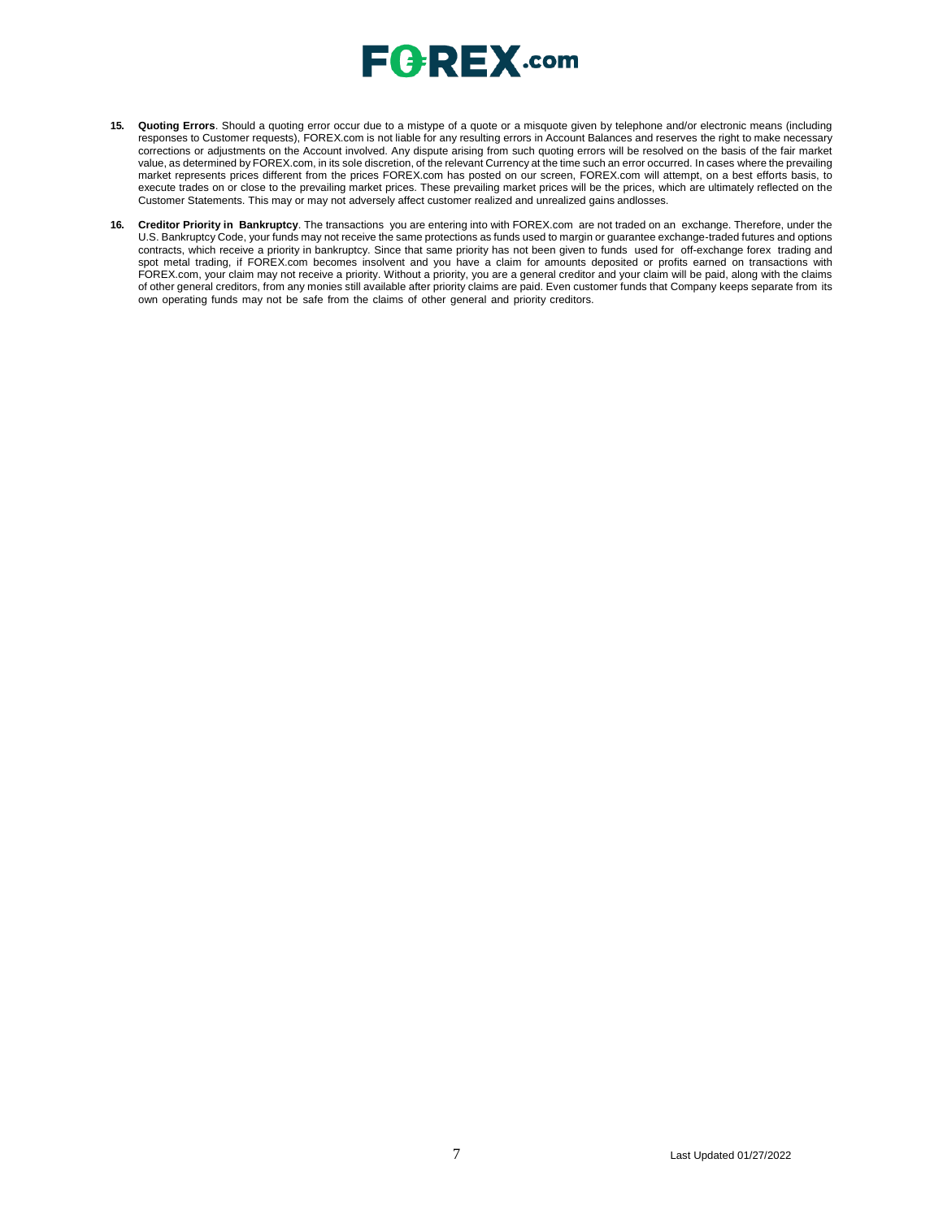

- **15. Quoting Errors**. Should a quoting error occur due to a mistype of a quote or a misquote given by telephone and/or electronic means (including responses to Customer requests), FOREX.com is not liable for any resulting errors in Account Balances and reserves the right to make necessary corrections or adjustments on the Account involved. Any dispute arising from such quoting errors will be resolved on the basis of the fair market value, as determined by FOREX.com, in its sole discretion, of the relevant Currency at the time such an error occurred. In cases where the prevailing market represents prices different from the prices FOREX.com has posted on our screen, FOREX.com will attempt, on a best efforts basis, to execute trades on or close to the prevailing market prices. These prevailing market prices will be the prices, which are ultimately reflected on the Customer Statements. This may or may not adversely affect customer realized and unrealized gains andlosses.
- **16. Creditor Priority in Bankruptcy**. The transactions you are entering into with FOREX.com are not traded on an exchange. Therefore, under the U.S. Bankruptcy Code, your funds may not receive the same protections as funds used to margin or guarantee exchange-traded futures and options contracts, which receive a priority in bankruptcy. Since that same priority has not been given to funds used for off-exchange forex trading and spot metal trading, if FOREX.com becomes insolvent and you have a claim for amounts deposited or profits earned on transactions with FOREX.com, your claim may not receive a priority. Without a priority, you are a general creditor and your claim will be paid, along with the claims of other general creditors, from any monies still available after priority claims are paid. Even customer funds that Company keeps separate from its own operating funds may not be safe from the claims of other general and priority creditors.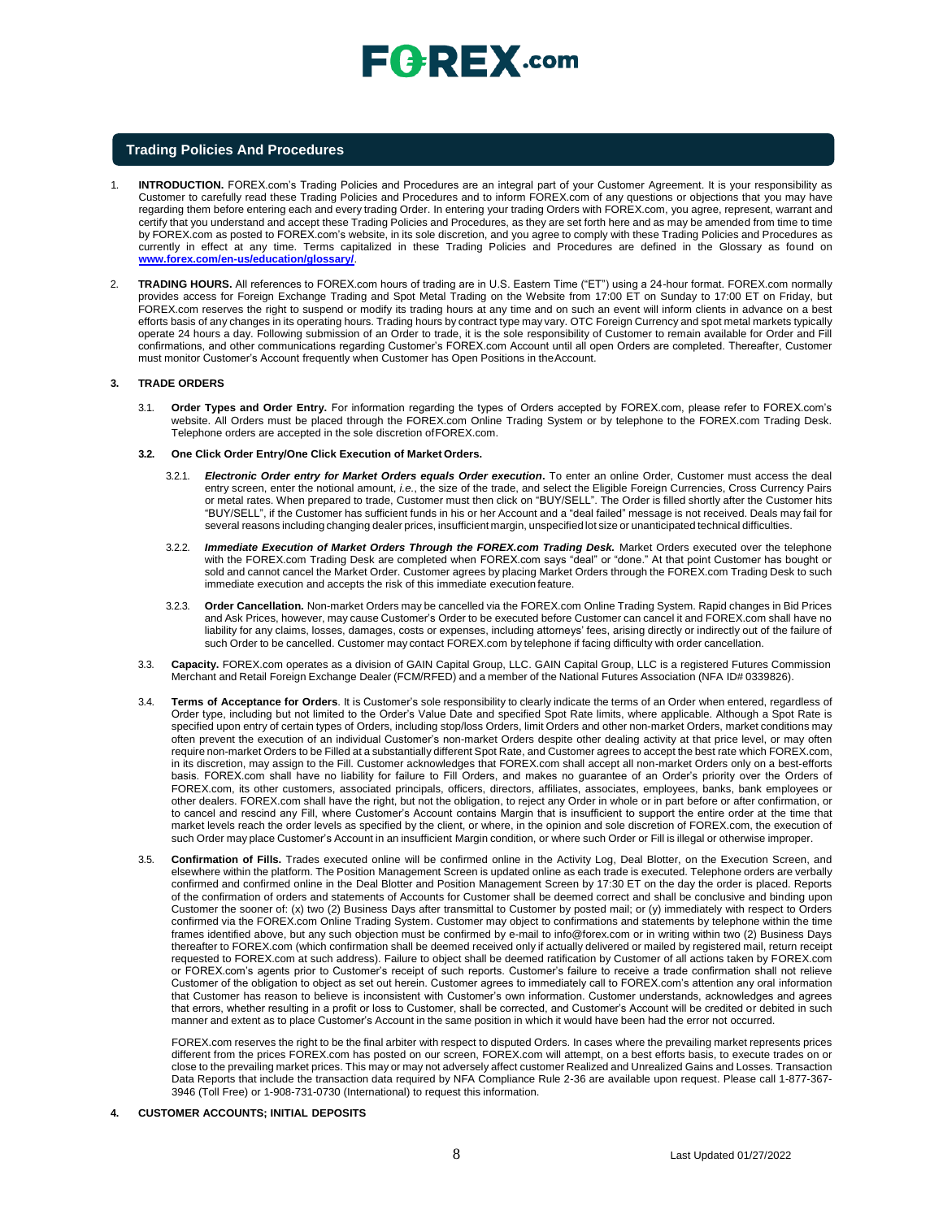

#### **Trading Policies And Procedures**

- 1. **INTRODUCTION.** FOREX.com's Trading Policies and Procedures are an integral part of your Customer Agreement. It is your responsibility as Customer to carefully read these Trading Policies and Procedures and to inform FOREX.com of any questions or objections that you may have regarding them before entering each and every trading Order. In entering your trading Orders with FOREX.com, you agree, represent, warrant and certify that you understand and accept these Trading Policies and Procedures, as they are set forth here and as may be amended from time to time by FOREX.com as posted to FOREX.com's website, in its sole discretion, and you agree to comply with these Trading Policies and Procedures as currently in effect at any time. Terms capitalized in these Trading Policies and Procedures are defined in the Glossary as found o[n](http://www.forex.com/en-us/education/glossary/) **[www.forex.com/en-us/education/glossary/](http://www.forex.com/en-us/education/glossary/)**.
- 2. **TRADING HOURS.** All references to FOREX.com hours of trading are in U.S. Eastern Time ("ET") using a 24-hour format. FOREX.com normally provides access for Foreign Exchange Trading and Spot Metal Trading on the Website from 17:00 ET on Sunday to 17:00 ET on Friday, but FOREX.com reserves the right to suspend or modify its trading hours at any time and on such an event will inform clients in advance on a best efforts basis of any changes in its operating hours. Trading hours by contract type may vary. OTC Foreign Currency and spot metal markets typically operate 24 hours a day. Following submission of an Order to trade, it is the sole responsibility of Customer to remain available for Order and Fill confirmations, and other communications regarding Customer's FOREX.com Account until all open Orders are completed. Thereafter, Customer must monitor Customer's Account frequently when Customer has Open Positions in theAccount.

#### **3. TRADE ORDERS**

- 3.1. **Order Types and Order Entry.** For information regarding the types of Orders accepted by FOREX.com, please refer to FOREX.com's website. All Orders must be placed through the FOREX.com Online Trading System or by telephone to the FOREX.com Trading Desk. Telephone orders are accepted in the sole discretion ofFOREX.com.
- **3.2. One Click Order Entry/One Click Execution of Market Orders.**
	- 3.2.1. *Electronic Order entry for Market Orders equals Order execution***.** To enter an online Order, Customer must access the deal entry screen, enter the notional amount, *i.e.*, the size of the trade, and select the Eligible Foreign Currencies, Cross Currency Pairs or metal rates. When prepared to trade, Customer must then click on "BUY/SELL". The Order is filled shortly after the Customer hits "BUY/SELL", if the Customer has sufficient funds in his or her Account and a "deal failed" message is not received. Deals may fail for several reasons including changing dealer prices, insufficient margin, unspecified lot size or unanticipated technical difficulties.
	- 3.2.2. *Immediate Execution of Market Orders Through the FOREX.com Trading Desk.* Market Orders executed over the telephone with the FOREX.com Trading Desk are completed when FOREX.com says "deal" or "done." At that point Customer has bought or sold and cannot cancel the Market Order. Customer agrees by placing Market Orders through the FOREX.com Trading Desk to such immediate execution and accepts the risk of this immediate execution feature.
	- 3.2.3. **Order Cancellation.** Non-market Orders may be cancelled via the FOREX.com Online Trading System. Rapid changes in Bid Prices and Ask Prices, however, may cause Customer's Order to be executed before Customer can cancel it and FOREX.com shall have no liability for any claims, losses, damages, costs or expenses, including attorneys' fees, arising directly or indirectly out of the failure of such Order to be cancelled. Customer may contact FOREX.com by telephone if facing difficulty with order cancellation.
- 3.3. **Capacity.** FOREX.com operates as a division of GAIN Capital Group, LLC. GAIN Capital Group, LLC is a registered Futures Commission Merchant and Retail Foreign Exchange Dealer (FCM/RFED) and a member of the National Futures Association (NFA ID# 0339826).
- 3.4. **Terms of Acceptance for Orders**. It is Customer's sole responsibility to clearly indicate the terms of an Order when entered, regardless of Order type, including but not limited to the Order's Value Date and specified Spot Rate limits, where applicable. Although a Spot Rate is specified upon entry of certain types of Orders, including stop/loss Orders, limit Orders and other non-market Orders, market conditions may often prevent the execution of an individual Customer's non-market Orders despite other dealing activity at that price level, or may often require non-market Orders to be Filled at a substantially different Spot Rate, and Customer agrees to accept the best rate which FOREX.com, in its discretion, may assign to the Fill. Customer acknowledges that FOREX.com shall accept all non-market Orders only on a best-efforts basis. FOREX.com shall have no liability for failure to Fill Orders, and makes no guarantee of an Order's priority over the Orders of FOREX.com, its other customers, associated principals, officers, directors, affiliates, associates, employees, banks, bank employees or other dealers. FOREX.com shall have the right, but not the obligation, to reject any Order in whole or in part before or after confirmation, or to cancel and rescind any Fill, where Customer's Account contains Margin that is insufficient to support the entire order at the time that market levels reach the order levels as specified by the client, or where, in the opinion and sole discretion of FOREX.com, the execution of such Order may place Customer's Account in an insufficient Margin condition, or where such Order or Fill is illegal or otherwise improper.
- 3.5. **Confirmation of Fills.** Trades executed online will be confirmed online in the Activity Log, Deal Blotter, on the Execution Screen, and elsewhere within the platform. The Position Management Screen is updated online as each trade is executed. Telephone orders are verbally confirmed and confirmed online in the Deal Blotter and Position Management Screen by 17:30 ET on the day the order is placed. Reports of the confirmation of orders and statements of Accounts for Customer shall be deemed correct and shall be conclusive and binding upon Customer the sooner of: (x) two (2) Business Days after transmittal to Customer by posted mail; or (y) immediately with respect to Orders confirmed via the FOREX.com Online Trading System. Customer may object to confirmations and statements by telephone within the time frames identified above, but any such objection must be confirmed by e-mail to [info@forex.com o](mailto:info@forex.com)r in writing within two (2) Business Days thereafter to FOREX.com (which confirmation shall be deemed received only if actually delivered or mailed by registered mail, return receipt requested to FOREX.com at such address). Failure to object shall be deemed ratification by Customer of all actions taken by FOREX.com or FOREX.com's agents prior to Customer's receipt of such reports. Customer's failure to receive a trade confirmation shall not relieve Customer of the obligation to object as set out herein. Customer agrees to immediately call to FOREX.com's attention any oral information that Customer has reason to believe is inconsistent with Customer's own information. Customer understands, acknowledges and agrees that errors, whether resulting in a profit or loss to Customer, shall be corrected, and Customer's Account will be credited or debited in such manner and extent as to place Customer's Account in the same position in which it would have been had the error not occurred.

FOREX.com reserves the right to be the final arbiter with respect to disputed Orders. In cases where the prevailing market represents prices different from the prices FOREX.com has posted on our screen, FOREX.com will attempt, on a best efforts basis, to execute trades on or close to the prevailing market prices. This may or may not adversely affect customer Realized and Unrealized Gains and Losses. Transaction Data Reports that include the transaction data required by NFA Compliance Rule 2-36 are available upon request. Please call 1-877-367- 3946 (Toll Free) or 1-908-731-0730 (International) to request this information.

**4. CUSTOMER ACCOUNTS; INITIAL DEPOSITS**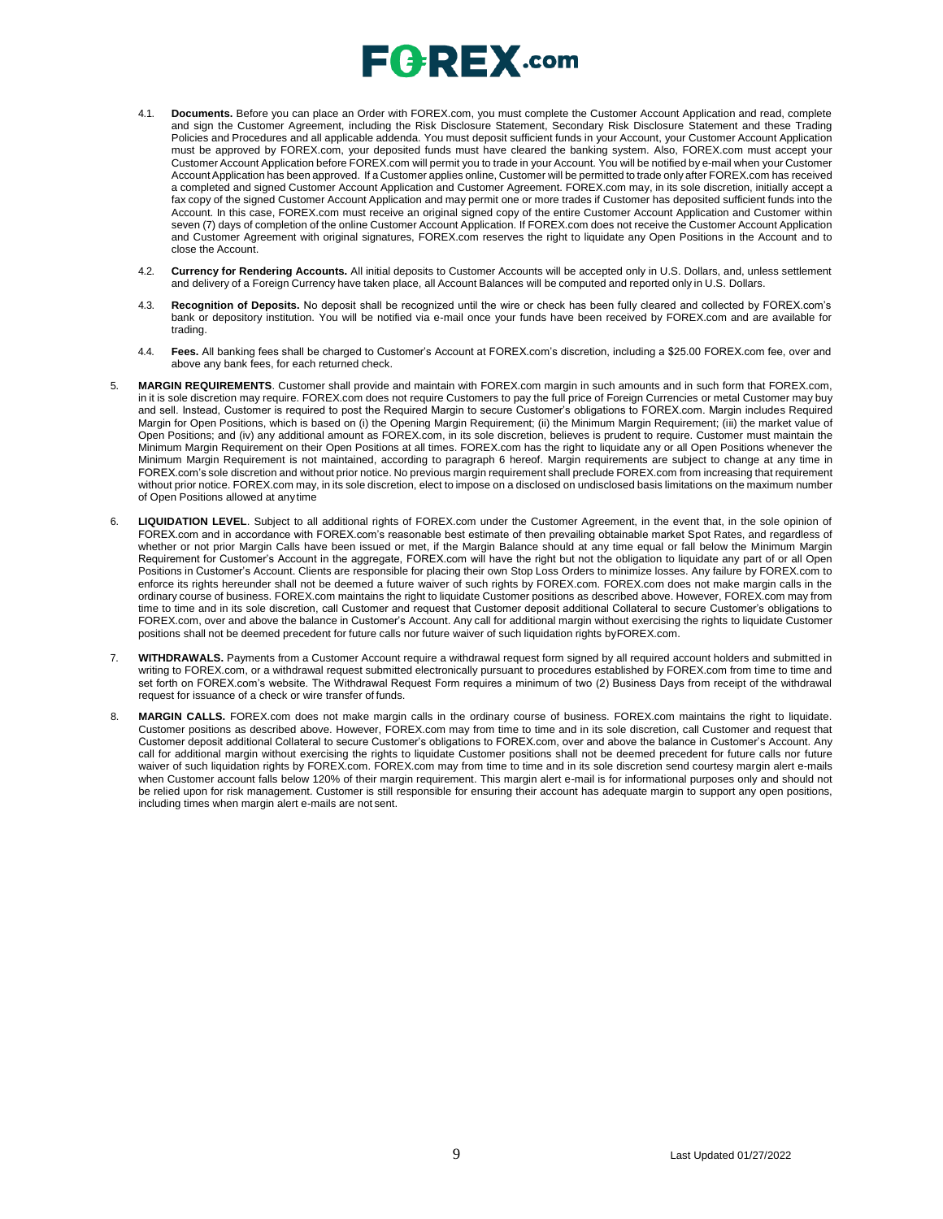## $\sqsubseteq$   $\sqsubseteq$   $\sqsubseteq$   $\sqtimes$  .com

- 4.1. **Documents.** Before you can place an Order with FOREX.com, you must complete the Customer Account Application and read, complete and sign the Customer Agreement, including the Risk Disclosure Statement, Secondary Risk Disclosure Statement and these Trading Policies and Procedures and all applicable addenda. You must deposit sufficient funds in your Account, your Customer Account Application must be approved by FOREX.com, your deposited funds must have cleared the banking system. Also, FOREX.com must accept your Customer Account Application before FOREX.com will permit you to trade in your Account. You will be notified by e-mail when your Customer Account Application has been approved. If a Customer applies online, Customer will be permitted to trade only after FOREX.com has received a completed and signed Customer Account Application and Customer Agreement. FOREX.com may, in its sole discretion, initially accept a fax copy of the signed Customer Account Application and may permit one or more trades if Customer has deposited sufficient funds into the Account. In this case, FOREX.com must receive an original signed copy of the entire Customer Account Application and Customer within seven (7) days of completion of the online Customer Account Application. If FOREX.com does not receive the Customer Account Application and Customer Agreement with original signatures, FOREX.com reserves the right to liquidate any Open Positions in the Account and to close the Account.
- 4.2. **Currency for Rendering Accounts.** All initial deposits to Customer Accounts will be accepted only in U.S. Dollars, and, unless settlement and delivery of a Foreign Currency have taken place, all Account Balances will be computed and reported only in U.S. Dollars.
- 4.3. **Recognition of Deposits.** No deposit shall be recognized until the wire or check has been fully cleared and collected by FOREX.com's bank or depository institution. You will be notified via e-mail once your funds have been received by FOREX.com and are available for trading.
- 4.4. **Fees.** All banking fees shall be charged to Customer's Account at FOREX.com's discretion, including a \$25.00 FOREX.com fee, over and above any bank fees, for each returned check.
- 5. **MARGIN REQUIREMENTS**. Customer shall provide and maintain with FOREX.com margin in such amounts and in such form that FOREX.com, in it is sole discretion may require. FOREX.com does not require Customers to pay the full price of Foreign Currencies or metal Customer may buy and sell. Instead, Customer is required to post the Required Margin to secure Customer's obligations to FOREX.com. Margin includes Required Margin for Open Positions, which is based on (i) the Opening Margin Requirement; (ii) the Minimum Margin Requirement; (iii) the market value of Open Positions; and (iv) any additional amount as FOREX.com, in its sole discretion, believes is prudent to require. Customer must maintain the Minimum Margin Requirement on their Open Positions at all times. FOREX.com has the right to liquidate any or all Open Positions whenever the Minimum Margin Requirement is not maintained, according to paragraph 6 hereof. Margin requirements are subject to change at any time in FOREX.com's sole discretion and without prior notice. No previous margin requirement shall preclude FOREX.com from increasing that requirement without prior notice. FOREX.com may, in its sole discretion, elect to impose on a disclosed on undisclosed basis limitations on the maximum number of Open Positions allowed at anytime
- 6. **LIQUIDATION LEVEL**. Subject to all additional rights of FOREX.com under the Customer Agreement, in the event that, in the sole opinion of FOREX.com and in accordance with FOREX.com's reasonable best estimate of then prevailing obtainable market Spot Rates, and regardless of whether or not prior Margin Calls have been issued or met, if the Margin Balance should at any time equal or fall below the Minimum Margin Requirement for Customer's Account in the aggregate, FOREX.com will have the right but not the obligation to liquidate any part of or all Open Positions in Customer's Account. Clients are responsible for placing their own Stop Loss Orders to minimize losses. Any failure by FOREX.com to enforce its rights hereunder shall not be deemed a future waiver of such rights by FOREX.com. FOREX.com does not make margin calls in the ordinary course of business. FOREX.com maintains the right to liquidate Customer positions as described above. However, FOREX.com may from time to time and in its sole discretion, call Customer and request that Customer deposit additional Collateral to secure Customer's obligations to FOREX.com, over and above the balance in Customer's Account. Any call for additional margin without exercising the rights to liquidate Customer positions shall not be deemed precedent for future calls nor future waiver of such liquidation rights byFOREX.com.
- 7. **WITHDRAWALS.** Payments from a Customer Account require a withdrawal request form signed by all required account holders and submitted in writing to FOREX.com, or a withdrawal request submitted electronically pursuant to procedures established by FOREX.com from time to time and set forth on FOREX.com's website. The Withdrawal Request Form requires a minimum of two (2) Business Days from receipt of the withdrawal request for issuance of a check or wire transfer of funds.
- 8. **MARGIN CALLS.** FOREX.com does not make margin calls in the ordinary course of business. FOREX.com maintains the right to liquidate. Customer positions as described above. However, FOREX.com may from time to time and in its sole discretion, call Customer and request that Customer deposit additional Collateral to secure Customer's obligations to FOREX.com, over and above the balance in Customer's Account. Any call for additional margin without exercising the rights to liquidate Customer positions shall not be deemed precedent for future calls nor future waiver of such liquidation rights by FOREX.com. FOREX.com may from time to time and in its sole discretion send courtesy margin alert e-mails when Customer account falls below 120% of their margin requirement. This margin alert e-mail is for informational purposes only and should not be relied upon for risk management. Customer is still responsible for ensuring their account has adequate margin to support any open positions, including times when margin alert e-mails are not sent.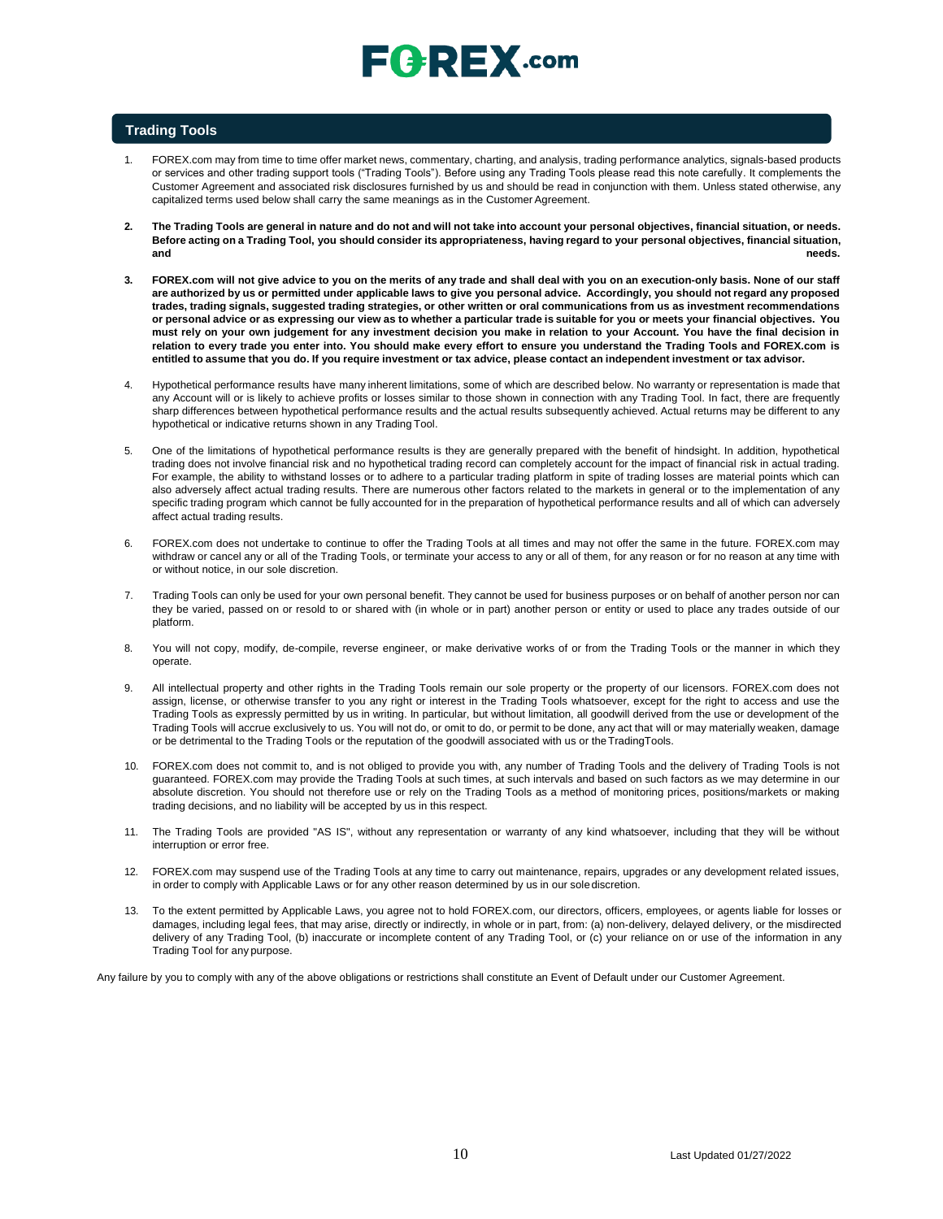#### **Trading Tools**

- 1. FOREX.com may from time to time offer market news, commentary, charting, and analysis, trading performance analytics, signals-based products or services and other trading support tools ("Trading Tools"). Before using any Trading Tools please read this note carefully. It complements the Customer Agreement and associated risk disclosures furnished by us and should be read in conjunction with them. Unless stated otherwise, any capitalized terms used below shall carry the same meanings as in the Customer Agreement.
- 2. The Trading Tools are general in nature and do not and will not take into account your personal objectives, financial situation, or needs. Before acting on a Trading Tool, you should consider its appropriateness, having regard to your personal objectives, financial situation, **and needs.**
- 3. FOREX.com will not give advice to you on the merits of any trade and shall deal with you on an execution-only basis. None of our staff are authorized by us or permitted under applicable laws to give you personal advice. Accordingly, you should not regard any proposed trades, trading signals, suggested trading strategies, or other written or oral communications from us as investment recommendations or personal advice or as expressing our view as to whether a particular trade is suitable for you or meets your financial objectives. You **must rely on your own judgement for any investment decision you make in relation to your Account. You have the final decision in relation to every trade you enter into. You should make every effort to ensure you understand the Trading Tools and FOREX.com is**  entitled to assume that you do. If you require investment or tax advice, please contact an independent investment or tax advisor.
- 4. Hypothetical performance results have many inherent limitations, some of which are described below. No warranty or representation is made that any Account will or is likely to achieve profits or losses similar to those shown in connection with any Trading Tool. In fact, there are frequently sharp differences between hypothetical performance results and the actual results subsequently achieved. Actual returns may be different to any hypothetical or indicative returns shown in any Trading Tool.
- 5. One of the limitations of hypothetical performance results is they are generally prepared with the benefit of hindsight. In addition, hypothetical trading does not involve financial risk and no hypothetical trading record can completely account for the impact of financial risk in actual trading. For example, the ability to withstand losses or to adhere to a particular trading platform in spite of trading losses are material points which can also adversely affect actual trading results. There are numerous other factors related to the markets in general or to the implementation of any specific trading program which cannot be fully accounted for in the preparation of hypothetical performance results and all of which can adversely affect actual trading results.
- 6. FOREX.com does not undertake to continue to offer the Trading Tools at all times and may not offer the same in the future. FOREX.com may withdraw or cancel any or all of the Trading Tools, or terminate your access to any or all of them, for any reason or for no reason at any time with or without notice, in our sole discretion.
- 7. Trading Tools can only be used for your own personal benefit. They cannot be used for business purposes or on behalf of another person nor can they be varied, passed on or resold to or shared with (in whole or in part) another person or entity or used to place any trades outside of our platform.
- 8. You will not copy, modify, de-compile, reverse engineer, or make derivative works of or from the Trading Tools or the manner in which they operate.
- 9. All intellectual property and other rights in the Trading Tools remain our sole property or the property of our licensors. FOREX.com does not assign, license, or otherwise transfer to you any right or interest in the Trading Tools whatsoever, except for the right to access and use the Trading Tools as expressly permitted by us in writing. In particular, but without limitation, all goodwill derived from the use or development of the Trading Tools will accrue exclusively to us. You will not do, or omit to do, or permit to be done, any act that will or may materially weaken, damage or be detrimental to the Trading Tools or the reputation of the goodwill associated with us or theTradingTools.
- 10. FOREX.com does not commit to, and is not obliged to provide you with, any number of Trading Tools and the delivery of Trading Tools is not guaranteed. FOREX.com may provide the Trading Tools at such times, at such intervals and based on such factors as we may determine in our absolute discretion. You should not therefore use or rely on the Trading Tools as a method of monitoring prices, positions/markets or making trading decisions, and no liability will be accepted by us in this respect.
- 11. The Trading Tools are provided "AS IS", without any representation or warranty of any kind whatsoever, including that they will be without interruption or error free.
- 12. FOREX.com may suspend use of the Trading Tools at any time to carry out maintenance, repairs, upgrades or any development related issues, in order to comply with Applicable Laws or for any other reason determined by us in our solediscretion.
- 13. To the extent permitted by Applicable Laws, you agree not to hold FOREX.com, our directors, officers, employees, or agents liable for losses or damages, including legal fees, that may arise, directly or indirectly, in whole or in part, from: (a) non-delivery, delayed delivery, or the misdirected delivery of any Trading Tool, (b) inaccurate or incomplete content of any Trading Tool, or (c) your reliance on or use of the information in any Trading Tool for any purpose.

Any failure by you to comply with any of the above obligations or restrictions shall constitute an Event of Default under our Customer Agreement.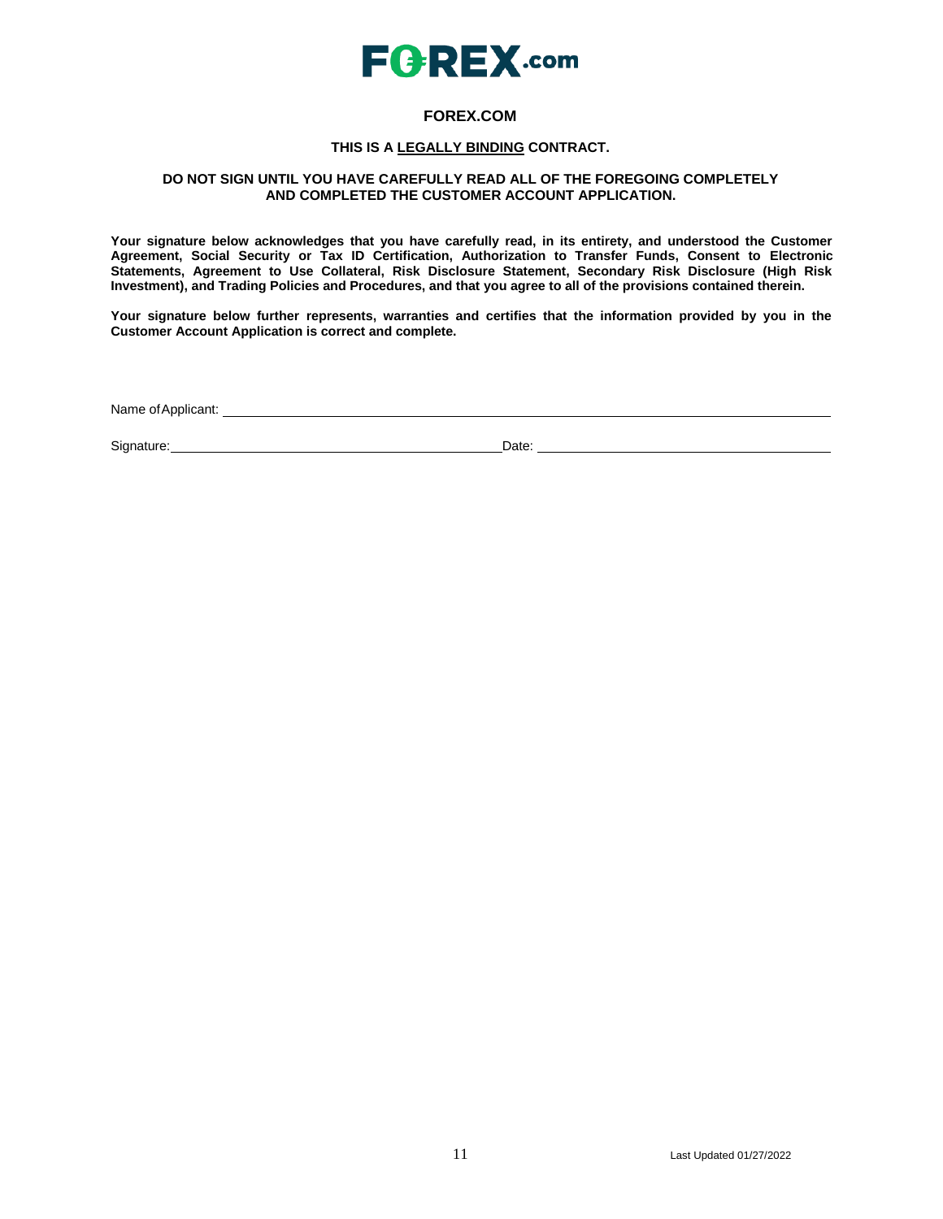

### **FOREX.COM**

### **THIS IS A LEGALLY BINDING CONTRACT.**

### **DO NOT SIGN UNTIL YOU HAVE CAREFULLY READ ALL OF THE FOREGOING COMPLETELY AND COMPLETED THE CUSTOMER ACCOUNT APPLICATION.**

**Your signature below acknowledges that you have carefully read, in its entirety, and understood the Customer Agreement, Social Security or Tax ID Certification, Authorization to Transfer Funds, Consent to Electronic Statements, Agreement to Use Collateral, Risk Disclosure Statement, Secondary Risk Disclosure (High Risk Investment), and Trading Policies and Procedures, and that you agree to all of the provisions contained therein.**

**Your signature below further represents, warranties and certifies that the information provided by you in the Customer Account Application is correct and complete.**

Name ofApplicant:

Signature: Date: Date: Date: Date: Date: Date: Date: Date: Date: Date: Date: Date: Date: Date: Date: Date: Date: Date: Date: Date: Date: Date: Date: Date: Date: Date: Date: Date: Date: Date: Date: Date: Date: Date: Date: D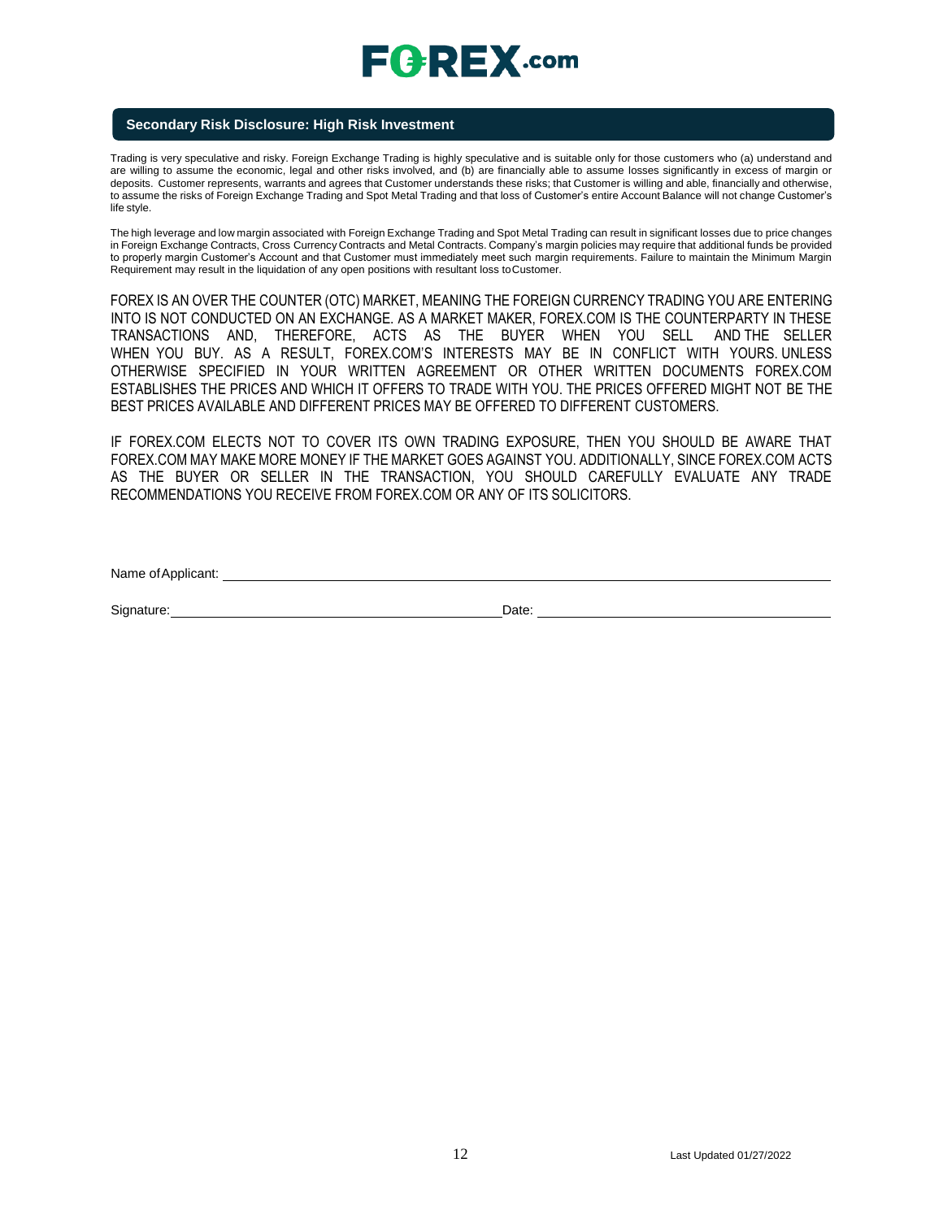### **Secondary Risk Disclosure: High Risk Investment**

Trading is very speculative and risky. Foreign Exchange Trading is highly speculative and is suitable only for those customers who (a) understand and are willing to assume the economic, legal and other risks involved, and (b) are financially able to assume losses significantly in excess of margin or deposits. Customer represents, warrants and agrees that Customer understands these risks; that Customer is willing and able, financially and otherwise, to assume the risks of Foreign Exchange Trading and Spot Metal Trading and that loss of Customer's entire Account Balance will not change Customer's life style.

The high leverage and low margin associated with Foreign Exchange Trading and Spot Metal Trading can result in significant losses due to price changes in Foreign Exchange Contracts, Cross Currency Contracts and Metal Contracts. Company's margin policies may require that additional funds be provided to properly margin Customer's Account and that Customer must immediately meet such margin requirements. Failure to maintain the Minimum Margin Requirement may result in the liquidation of any open positions with resultant loss toCustomer.

FOREX IS AN OVER THE COUNTER (OTC) MARKET, MEANING THE FOREIGN CURRENCY TRADING YOU ARE ENTERING INTO IS NOT CONDUCTED ON AN EXCHANGE. AS A MARKET MAKER, FOREX.COM IS THE COUNTERPARTY IN THESE TRANSACTIONS AND, THEREFORE, ACTS AS THE BUYER WHEN YOU SELL AND THE SELLER WHEN YOU BUY. AS A RESULT, FOREX.COM'S INTERESTS MAY BE IN CONFLICT WITH YOURS. UNLESS OTHERWISE SPECIFIED IN YOUR WRITTEN AGREEMENT OR OTHER WRITTEN DOCUMENTS FOREX.COM ESTABLISHES THE PRICES AND WHICH IT OFFERS TO TRADE WITH YOU. THE PRICES OFFERED MIGHT NOT BE THE BEST PRICES AVAILABLE AND DIFFERENT PRICES MAY BE OFFERED TO DIFFERENT CUSTOMERS.

IF FOREX.COM ELECTS NOT TO COVER ITS OWN TRADING EXPOSURE, THEN YOU SHOULD BE AWARE THAT FOREX.COM MAY MAKE MORE MONEY IF THE MARKET GOES AGAINST YOU. ADDITIONALLY, SINCE FOREX.COM ACTS AS THE BUYER OR SELLER IN THE TRANSACTION, YOU SHOULD CAREFULLY EVALUATE ANY TRADE RECOMMENDATIONS YOU RECEIVE FROM FOREX.COM OR ANY OF ITS SOLICITORS.

Name ofApplicant:

Signature: Date: Date: Date: Date: Date: Date: Date: Date: Date: Date: Date: Date: Date: Date: Date: Date: Date: Date: Date: Date: Date: Date: Date: Date: Date: Date: Date: Date: Date: Date: Date: Date: Date: Date: Date: D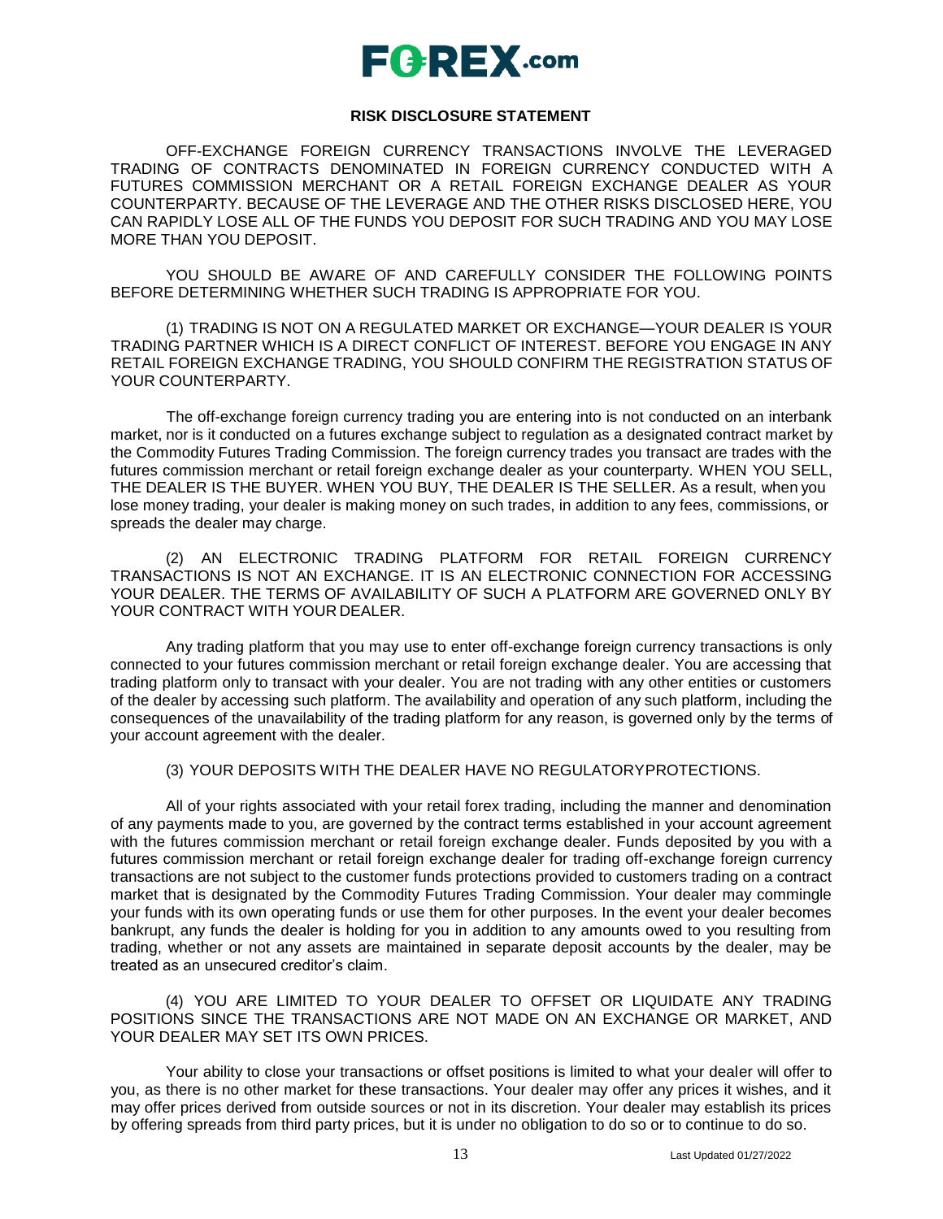### **RISK DISCLOSURE STATEMENT**

OFF-EXCHANGE FOREIGN CURRENCY TRANSACTIONS INVOLVE THE LEVERAGED TRADING OF CONTRACTS DENOMINATED IN FOREIGN CURRENCY CONDUCTED WITH A FUTURES COMMISSION MERCHANT OR A RETAIL FOREIGN EXCHANGE DEALER AS YOUR COUNTERPARTY. BECAUSE OF THE LEVERAGE AND THE OTHER RISKS DISCLOSED HERE, YOU CAN RAPIDLY LOSE ALL OF THE FUNDS YOU DEPOSIT FOR SUCH TRADING AND YOU MAY LOSE MORE THAN YOU DEPOSIT.

YOU SHOULD BE AWARE OF AND CAREFULLY CONSIDER THE FOLLOWING POINTS BEFORE DETERMINING WHETHER SUCH TRADING IS APPROPRIATE FOR YOU.

(1) TRADING IS NOT ON A REGULATED MARKET OR EXCHANGE—YOUR DEALER IS YOUR TRADING PARTNER WHICH IS A DIRECT CONFLICT OF INTEREST. BEFORE YOU ENGAGE IN ANY RETAIL FOREIGN EXCHANGE TRADING, YOU SHOULD CONFIRM THE REGISTRATION STATUS OF YOUR COUNTERPARTY.

The off-exchange foreign currency trading you are entering into is not conducted on an interbank market, nor is it conducted on a futures exchange subject to regulation as a designated contract market by the Commodity Futures Trading Commission. The foreign currency trades you transact are trades with the futures commission merchant or retail foreign exchange dealer as your counterparty. WHEN YOU SELL, THE DEALER IS THE BUYER. WHEN YOU BUY, THE DEALER IS THE SELLER. As a result, when you lose money trading, your dealer is making money on such trades, in addition to any fees, commissions, or spreads the dealer may charge.

(2) AN ELECTRONIC TRADING PLATFORM FOR RETAIL FOREIGN CURRENCY TRANSACTIONS IS NOT AN EXCHANGE. IT IS AN ELECTRONIC CONNECTION FOR ACCESSING YOUR DEALER. THE TERMS OF AVAILABILITY OF SUCH A PLATFORM ARE GOVERNED ONLY BY YOUR CONTRACT WITH YOUR DEALER.

Any trading platform that you may use to enter off-exchange foreign currency transactions is only connected to your futures commission merchant or retail foreign exchange dealer. You are accessing that trading platform only to transact with your dealer. You are not trading with any other entities or customers of the dealer by accessing such platform. The availability and operation of any such platform, including the consequences of the unavailability of the trading platform for any reason, is governed only by the terms of your account agreement with the dealer.

(3) YOUR DEPOSITS WITH THE DEALER HAVE NO REGULATORYPROTECTIONS.

All of your rights associated with your retail forex trading, including the manner and denomination of any payments made to you, are governed by the contract terms established in your account agreement with the futures commission merchant or retail foreign exchange dealer. Funds deposited by you with a futures commission merchant or retail foreign exchange dealer for trading off-exchange foreign currency transactions are not subject to the customer funds protections provided to customers trading on a contract market that is designated by the Commodity Futures Trading Commission. Your dealer may commingle your funds with its own operating funds or use them for other purposes. In the event your dealer becomes bankrupt, any funds the dealer is holding for you in addition to any amounts owed to you resulting from trading, whether or not any assets are maintained in separate deposit accounts by the dealer, may be treated as an unsecured creditor's claim.

(4) YOU ARE LIMITED TO YOUR DEALER TO OFFSET OR LIQUIDATE ANY TRADING POSITIONS SINCE THE TRANSACTIONS ARE NOT MADE ON AN EXCHANGE OR MARKET, AND YOUR DEALER MAY SET ITS OWN PRICES.

Your ability to close your transactions or offset positions is limited to what your dealer will offer to you, as there is no other market for these transactions. Your dealer may offer any prices it wishes, and it may offer prices derived from outside sources or not in its discretion. Your dealer may establish its prices by offering spreads from third party prices, but it is under no obligation to do so or to continue to do so.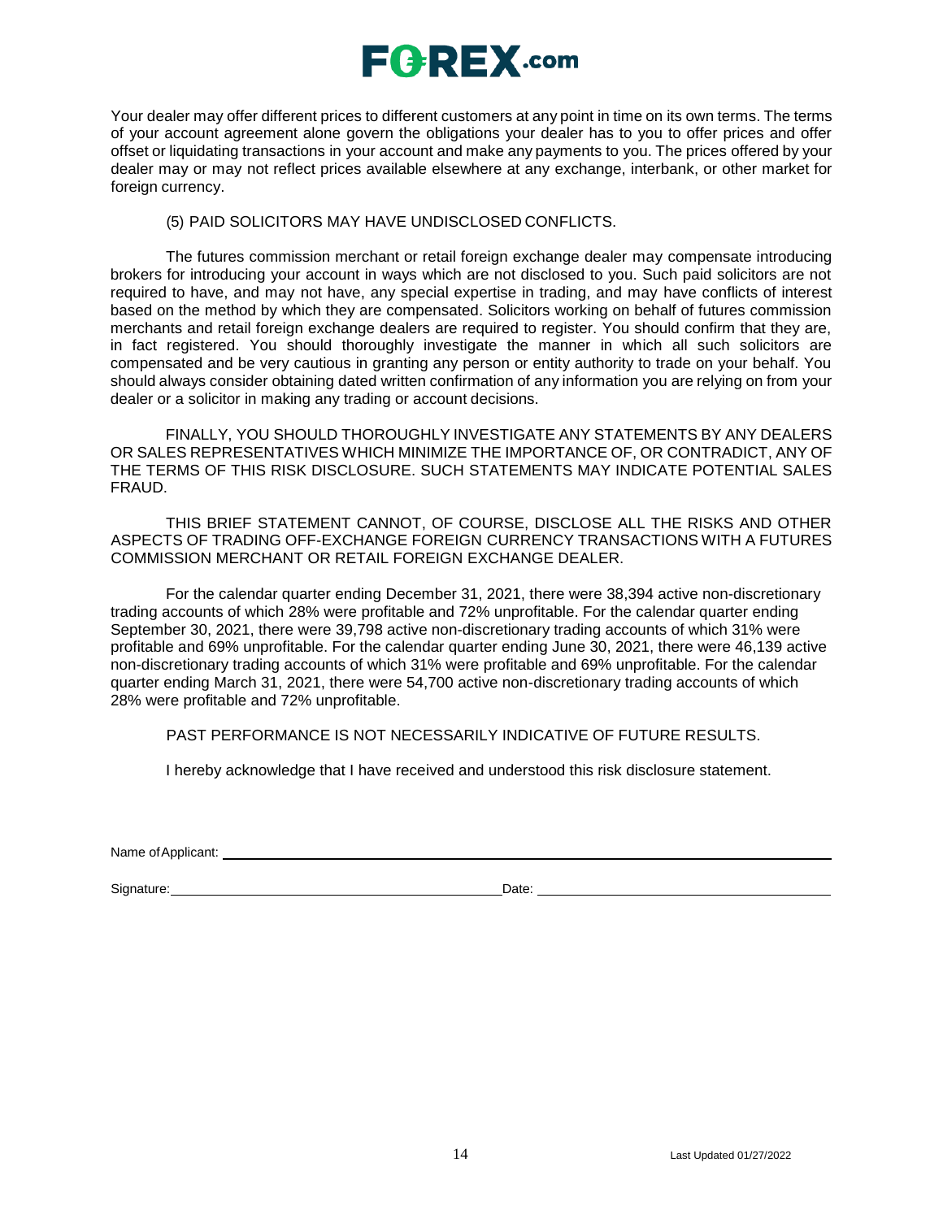

Your dealer may offer different prices to different customers at any point in time on its own terms. The terms of your account agreement alone govern the obligations your dealer has to you to offer prices and offer offset or liquidating transactions in your account and make any payments to you. The prices offered by your dealer may or may not reflect prices available elsewhere at any exchange, interbank, or other market for foreign currency.

### (5) PAID SOLICITORS MAY HAVE UNDISCLOSED CONFLICTS.

The futures commission merchant or retail foreign exchange dealer may compensate introducing brokers for introducing your account in ways which are not disclosed to you. Such paid solicitors are not required to have, and may not have, any special expertise in trading, and may have conflicts of interest based on the method by which they are compensated. Solicitors working on behalf of futures commission merchants and retail foreign exchange dealers are required to register. You should confirm that they are, in fact registered. You should thoroughly investigate the manner in which all such solicitors are compensated and be very cautious in granting any person or entity authority to trade on your behalf. You should always consider obtaining dated written confirmation of any information you are relying on from your dealer or a solicitor in making any trading or account decisions.

FINALLY, YOU SHOULD THOROUGHLY INVESTIGATE ANY STATEMENTS BY ANY DEALERS OR SALES REPRESENTATIVES WHICH MINIMIZE THE IMPORTANCE OF, OR CONTRADICT, ANY OF THE TERMS OF THIS RISK DISCLOSURE. SUCH STATEMENTS MAY INDICATE POTENTIAL SALES FRAUD.

THIS BRIEF STATEMENT CANNOT, OF COURSE, DISCLOSE ALL THE RISKS AND OTHER ASPECTS OF TRADING OFF-EXCHANGE FOREIGN CURRENCY TRANSACTIONS WITH A FUTURES COMMISSION MERCHANT OR RETAIL FOREIGN EXCHANGE DEALER.

For the calendar quarter ending December 31, 2021, there were 38,394 active non-discretionary trading accounts of which 28% were profitable and 72% unprofitable. For the calendar quarter ending September 30, 2021, there were 39,798 active non-discretionary trading accounts of which 31% were profitable and 69% unprofitable. For the calendar quarter ending June 30, 2021, there were 46,139 active non-discretionary trading accounts of which 31% were profitable and 69% unprofitable. For the calendar quarter ending March 31, 2021, there were 54,700 active non-discretionary trading accounts of which 28% were profitable and 72% unprofitable.

PAST PERFORMANCE IS NOT NECESSARILY INDICATIVE OF FUTURE RESULTS.

I hereby acknowledge that I have received and understood this risk disclosure statement.

Name ofApplicant:

Signature: Date: Date: Date: Date: Date: Date: Date: Date: Date: Date: Date: Date: Date: Date: Date: Date: Date: Date: Date: Date: Date: Date: Date: Date: Date: Date: Date: Date: Date: Date: Date: Date: Date: Date: Date: D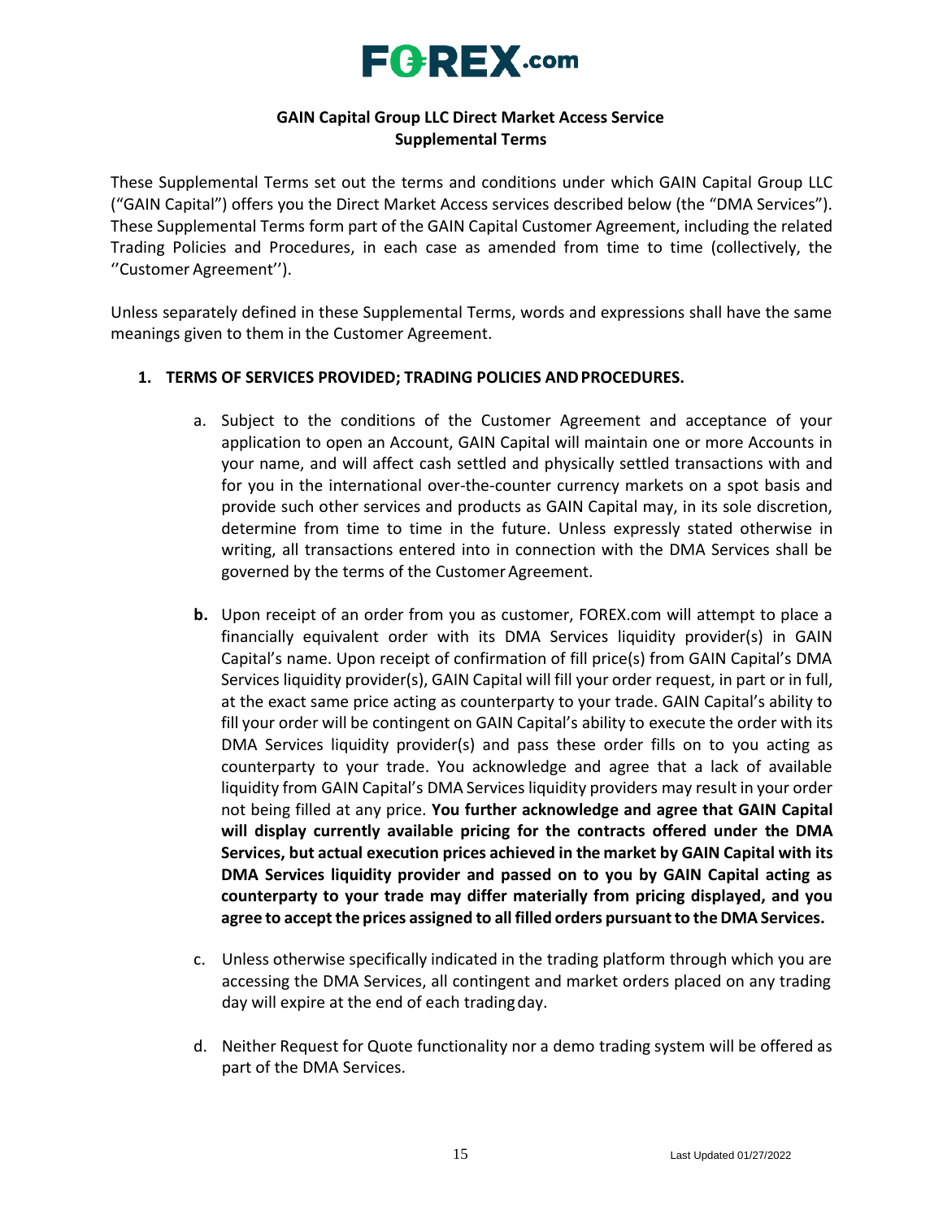

### **GAIN Capital Group LLC Direct Market Access Service Supplemental Terms**

These Supplemental Terms set out the terms and conditions under which GAIN Capital Group LLC ("GAIN Capital") offers you the Direct Market Access services described below (the "DMA Services"). These Supplemental Terms form part of the GAIN Capital Customer Agreement, including the related Trading Policies and Procedures, in each case as amended from time to time (collectively, the ''Customer Agreement'').

Unless separately defined in these Supplemental Terms, words and expressions shall have the same meanings given to them in the Customer Agreement.

### **1. TERMS OF SERVICES PROVIDED; TRADING POLICIES ANDPROCEDURES.**

- a. Subject to the conditions of the Customer Agreement and acceptance of your application to open an Account, GAIN Capital will maintain one or more Accounts in your name, and will affect cash settled and physically settled transactions with and for you in the international over-the-counter currency markets on a spot basis and provide such other services and products as GAIN Capital may, in its sole discretion, determine from time to time in the future. Unless expressly stated otherwise in writing, all transactions entered into in connection with the DMA Services shall be governed by the terms of the Customer Agreement.
- **b.** Upon receipt of an order from you as customer, FOREX.com will attempt to place a financially equivalent order with its DMA Services liquidity provider(s) in GAIN Capital's name. Upon receipt of confirmation of fill price(s) from GAIN Capital's DMA Services liquidity provider(s), GAIN Capital will fill your order request, in part or in full, at the exact same price acting as counterparty to your trade. GAIN Capital's ability to fill your order will be contingent on GAIN Capital's ability to execute the order with its DMA Services liquidity provider(s) and pass these order fills on to you acting as counterparty to your trade. You acknowledge and agree that a lack of available liquidity from GAIN Capital's DMA Services liquidity providers may result in your order not being filled at any price. **You further acknowledge and agree that GAIN Capital will display currently available pricing for the contracts offered under the DMA Services, but actual execution prices achieved in the market by GAIN Capital with its DMA Services liquidity provider and passed on to you by GAIN Capital acting as counterparty to your trade may differ materially from pricing displayed, and you agree to accept the prices assigned to all filled orders pursuantto theDMA Services.**
- c. Unless otherwise specifically indicated in the trading platform through which you are accessing the DMA Services, all contingent and market orders placed on any trading day will expire at the end of each tradingday.
- d. Neither Request for Quote functionality nor a demo trading system will be offered as part of the DMA Services.